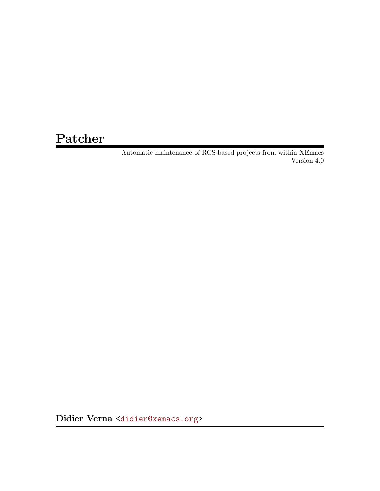# <span id="page-0-0"></span>Patcher

Automatic maintenance of RCS-based projects from within XEmacs Version 4.0

Didier Verna [<didier@xemacs.org>](mailto:didier@xemacs.org)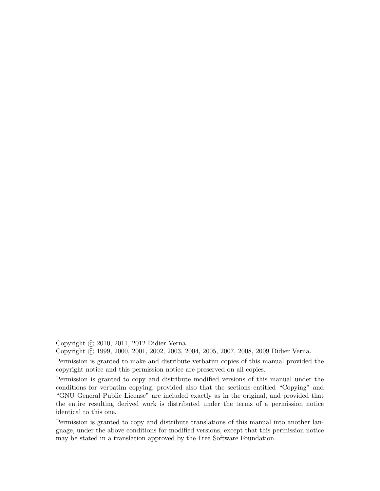Copyright © 2010, 2011, 2012 Didier Verna.

Copyright © 1999, 2000, 2001, 2002, 2003, 2004, 2005, 2007, 2008, 2009 Didier Verna.

Permission is granted to make and distribute verbatim copies of this manual provided the copyright notice and this permission notice are preserved on all copies.

Permission is granted to copy and distribute modified versions of this manual under the conditions for verbatim copying, provided also that the sections entitled "Copying" and "GNU General Public License" are included exactly as in the original, and provided that the entire resulting derived work is distributed under the terms of a permission notice identical to this one.

Permission is granted to copy and distribute translations of this manual into another language, under the above conditions for modified versions, except that this permission notice may be stated in a translation approved by the Free Software Foundation.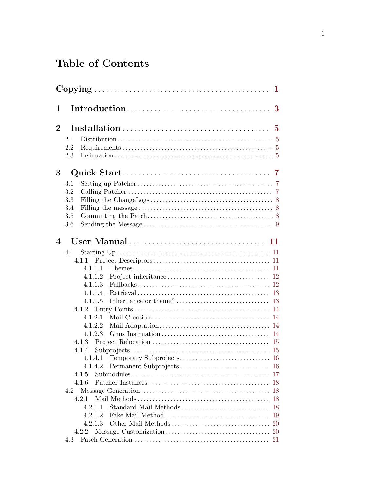# Table of Contents

| 1              |                                  |           |
|----------------|----------------------------------|-----------|
| $\bf{2}$       |                                  |           |
|                | 2.1                              |           |
|                | 2.2                              |           |
|                | 2.3                              |           |
| 3              |                                  |           |
|                | 3.1                              |           |
|                | 3.2                              |           |
|                | 3.3                              |           |
|                | 3.4                              |           |
|                | 3.5                              |           |
|                | 3.6                              |           |
| $\overline{4}$ |                                  |           |
|                | 4.1                              |           |
|                | 4.1.1                            |           |
|                | 4.1.1.1                          |           |
|                | 4.1.1.2                          |           |
|                | 4.1.1.3                          |           |
|                | 4.1.1.4                          |           |
|                | 4.1.1.5                          |           |
|                |                                  |           |
|                | 4.1.2.1                          |           |
|                | 4.1.2.2                          |           |
|                | 4.1.2.3                          |           |
|                | 4.1.3                            |           |
|                |                                  |           |
|                |                                  |           |
|                | 4.1.4.2                          |           |
|                | 4.1.5                            |           |
|                | 4.1.6                            | 18        |
|                | 4.2                              | 18        |
|                | 4.2.1                            | 18        |
|                | Standard Mail Methods<br>4.2.1.1 | 18        |
|                | 4.2.1.2                          | 19        |
|                | Other Mail Methods<br>4.2.1.3    | <b>20</b> |
|                | 4.2.2                            |           |
|                | 4.3                              |           |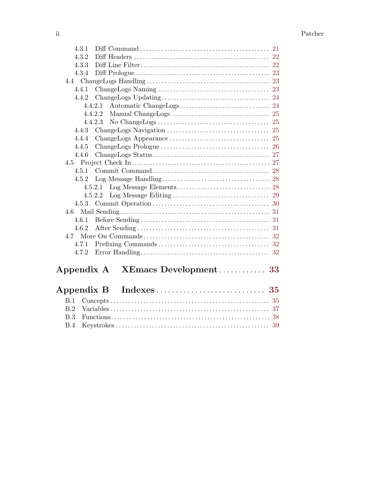| 4.3.1      |                       |  |
|------------|-----------------------|--|
| 4.3.2      |                       |  |
| 4.3.3      |                       |  |
| 4.3.4      |                       |  |
|            |                       |  |
| 4.4.1      |                       |  |
| 4.4.2      |                       |  |
|            | 4.4.2.1               |  |
|            | 4.4.2.2               |  |
|            | 4.4.2.3               |  |
| 4.4.3      |                       |  |
| 4.4.4      |                       |  |
| 4.4.5      |                       |  |
| 4.4.6      |                       |  |
| 4.5        |                       |  |
| 4.5.1      |                       |  |
| 4.5.2      |                       |  |
|            | 4.5.2.1               |  |
|            | 4.5.2.2               |  |
| 4.5.3      |                       |  |
| 4.6        |                       |  |
| 4.6.1      |                       |  |
| 462        |                       |  |
| 4.7        |                       |  |
| 4.7.1      |                       |  |
| 4.7.2      |                       |  |
|            |                       |  |
|            |                       |  |
| Appendix B |                       |  |
| B.1        |                       |  |
| B.2        |                       |  |
| B.3        |                       |  |
| B.4        |                       |  |
| Appendix A | XEmacs Development 33 |  |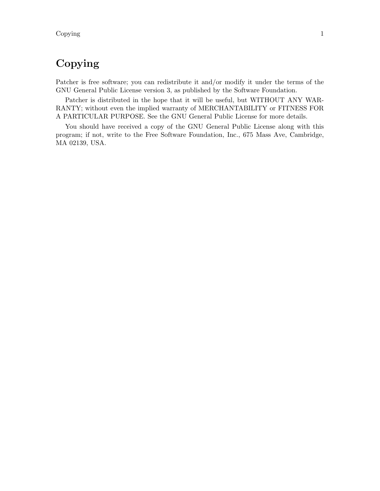<span id="page-4-0"></span>Copying 1

# Copying

Patcher is free software; you can redistribute it and/or modify it under the terms of the GNU General Public License version 3, as published by the Software Foundation.

Patcher is distributed in the hope that it will be useful, but WITHOUT ANY WAR-RANTY; without even the implied warranty of MERCHANTABILITY or FITNESS FOR A PARTICULAR PURPOSE. See the GNU General Public License for more details.

You should have received a copy of the GNU General Public License along with this program; if not, write to the Free Software Foundation, Inc., 675 Mass Ave, Cambridge, MA 02139, USA.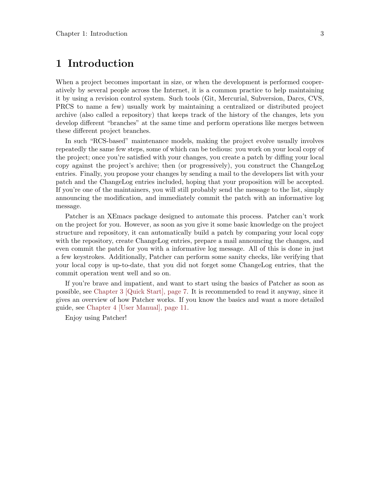# <span id="page-6-0"></span>1 Introduction

When a project becomes important in size, or when the development is performed cooperatively by several people across the Internet, it is a common practice to help maintaining it by using a revision control system. Such tools (Git, Mercurial, Subversion, Darcs, CVS, PRCS to name a few) usually work by maintaining a centralized or distributed project archive (also called a repository) that keeps track of the history of the changes, lets you develop different "branches" at the same time and perform operations like merges between these different project branches.

In such "RCS-based" maintenance models, making the project evolve usually involves repeatedly the same few steps, some of which can be tedious: you work on your local copy of the project; once you're satisfied with your changes, you create a patch by diffing your local copy against the project's archive; then (or progressively), you construct the ChangeLog entries. Finally, you propose your changes by sending a mail to the developers list with your patch and the ChangeLog entries included, hoping that your proposition will be accepted. If you're one of the maintainers, you will still probably send the message to the list, simply announcing the modification, and immediately commit the patch with an informative log message.

Patcher is an XEmacs package designed to automate this process. Patcher can't work on the project for you. However, as soon as you give it some basic knowledge on the project structure and repository, it can automatically build a patch by comparing your local copy with the repository, create ChangeLog entries, prepare a mail announcing the changes, and even commit the patch for you with a informative log message. All of this is done in just a few keystrokes. Additionally, Patcher can perform some sanity checks, like verifying that your local copy is up-to-date, that you did not forget some ChangeLog entries, that the commit operation went well and so on.

If you're brave and impatient, and want to start using the basics of Patcher as soon as possible, see [Chapter 3 \[Quick Start\], page 7.](#page-10-0) It is recommended to read it anyway, since it gives an overview of how Patcher works. If you know the basics and want a more detailed guide, see [Chapter 4 \[User Manual\], page 11](#page-14-0).

Enjoy using Patcher!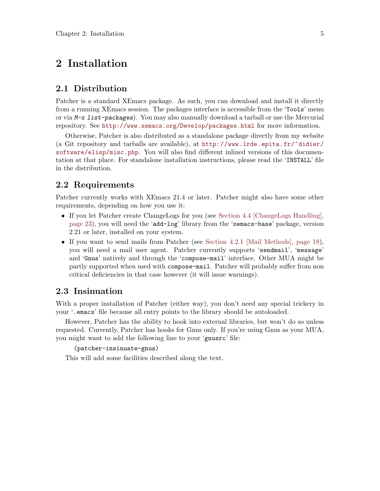# <span id="page-8-0"></span>2 Installation

### 2.1 Distribution

Patcher is a standard XEmacs package. As such, you can download and install it directly from a running XEmacs session. The packages interface is accessible from the 'Tools' menu or via M-x list-packages). You may also manually download a tarball or use the Mercurial repository. See <http://www.xemacs.org/Develop/packages.html> for more information.

Otherwise, Patcher is also distributed as a standalone package directly from my website (a Git repository and tarballs are available), at [http://www.lrde.epita.fr/~didier/](http://www.lrde.epita.fr/~didier/software/elisp/misc.php) [software/elisp/misc.php](http://www.lrde.epita.fr/~didier/software/elisp/misc.php). You will also find different inlined versions of this documentation at that place. For standalone installation instructions, please read the 'INSTALL' file in the distribution.

## 2.2 Requirements

Patcher currently works with XEmacs 21.4 or later. Patcher might also have some other requirements, depending on how you use it:

- If you let Patcher create ChangeLogs for you (see [Section 4.4 \[ChangeLogs Handling\],](#page-26-1) [page 23\)](#page-26-1), you will need the 'add-log' library from the 'xemacs-base' package, version 2.21 or later, installed on your system.
- If you want to send mails from Patcher (see [Section 4.2.1 \[Mail Methods\], page 18\)](#page-21-1), you will need a mail user agent. Patcher currently supports 'sendmail', 'message' and 'Gnus' natively and through the 'compose-mail' interface. Other MUA might be partly supported when used with compose-mail. Patcher will probably suffer from non critical deficiencies in that case however (it will issue warnings).

## <span id="page-8-1"></span>2.3 Insinuation

With a proper installation of Patcher (either way), you don't need any special trickery in your '.emacs' file because all entry points to the library should be autoloaded.

However, Patcher has the ability to hook into external libraries, but won't do so unless requested. Currently, Patcher has hooks for Gnus only. If you're using Gnus as your MUA, you might want to add the following line to your 'gnusrc' file:

#### (patcher-insinuate-gnus)

This will add some facilities described along the text.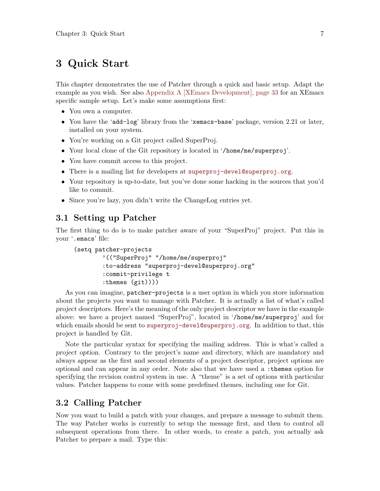# <span id="page-10-0"></span>3 Quick Start

This chapter demonstrates the use of Patcher through a quick and basic setup. Adapt the example as you wish. See also [Appendix A \[XEmacs Development\], page 33](#page-36-0) for an XEmacs specific sample setup. Let's make some assumptions first:

- You own a computer.
- You have the 'add-log' library from the 'xemacs-base' package, version 2.21 or later, installed on your system.
- You're working on a Git project called SuperProj.
- Your local clone of the Git repository is located in '/home/me/superproj'.
- You have commit access to this project.
- There is a mailing list for developers at [superproj-devel@superproj.org](mailto:superproj-devel@superproj.org).
- Your repository is up-to-date, but you've done some hacking in the sources that you'd like to commit.
- Since you're lazy, you didn't write the ChangeLog entries yet.

## 3.1 Setting up Patcher

The first thing to do is to make patcher aware of your "SuperProj" project. Put this in your '.emacs' file:

```
(setq patcher-projects
        '(("SuperProj" "/home/me/superproj"
        :to-address "superproj-devel@superproj.org"
        :commit-privilege t
        :themes (git))))
```
As you can imagine, patcher-projects is a user option in which you store information about the projects you want to manage with Patcher. It is actually a list of what's called project descriptors. Here's the meaning of the only project descriptor we have in the example above: we have a project named "SuperProj", located in '/home/me/superproj' and for which emails should be sent to [superproj-devel@superproj.org](mailto:superproj-devel@superproj.org). In addition to that, this project is handled by Git.

Note the particular syntax for specifying the mailing address. This is what's called a project option. Contrary to the project's name and directory, which are mandatory and always appear as the first and second elements of a project descriptor, project options are optional and can appear in any order. Note also that we have used a :themes option for specifying the revision control system in use. A "theme" is a set of options with particular values. Patcher happens to come with some predefined themes, including one for Git.

## 3.2 Calling Patcher

Now you want to build a patch with your changes, and prepare a message to submit them. The way Patcher works is currently to setup the message first, and then to control all subsequent operations from there. In other words, to create a patch, you actually ask Patcher to prepare a mail. Type this: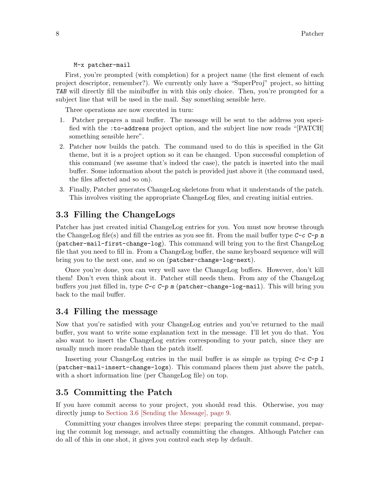#### <span id="page-11-0"></span>M-x patcher-mail

First, you're prompted (with completion) for a project name (the first element of each project descriptor, remember?). We currently only have a "SuperProj" project, so hitting TAB will directly fill the minibuffer in with this only choice. Then, you're prompted for a subject line that will be used in the mail. Say something sensible here.

Three operations are now executed in turn:

- 1. Patcher prepares a mail buffer. The message will be sent to the address you specified with the :to-address project option, and the subject line now reads "[PATCH] something sensible here".
- 2. Patcher now builds the patch. The command used to do this is specified in the Git theme, but it is a project option so it can be changed. Upon successful completion of this command (we assume that's indeed the case), the patch is inserted into the mail buffer. Some information about the patch is provided just above it (the command used, the files affected and so on).
- 3. Finally, Patcher generates ChangeLog skeletons from what it understands of the patch. This involves visiting the appropriate ChangeLog files, and creating initial entries.

## 3.3 Filling the ChangeLogs

Patcher has just created initial ChangeLog entries for you. You must now browse through the ChangeLog file(s) and fill the entries as you see fit. From the mail buffer type  $C-c$ -p n (patcher-mail-first-change-log). This command will bring you to the first ChangeLog file that you need to fill in. From a ChangeLog buffer, the same keyboard sequence will will bring you to the next one, and so on (patcher-change-log-next).

Once you're done, you can very well save the ChangeLog buffers. However, don't kill them! Don't even think about it. Patcher still needs them. From any of the ChangeLog buffers you just filled in, type  $C-c$   $C-p$  m (patcher-change-log-mail). This will bring you back to the mail buffer.

## 3.4 Filling the message

Now that you're satisfied with your ChangeLog entries and you've returned to the mail buffer, you want to write some explanation text in the message. I'll let you do that. You also want to insert the ChangeLog entries corresponding to your patch, since they are usually much more readable than the patch itself.

Inserting your ChangeLog entries in the mail buffer is as simple as typing  $C-c$ -p l (patcher-mail-insert-change-logs). This command places them just above the patch, with a short information line (per ChangeLog file) on top.

## 3.5 Committing the Patch

If you have commit access to your project, you should read this. Otherwise, you may directly jump to [Section 3.6 \[Sending the Message\], page 9.](#page-12-1)

Committing your changes involves three steps: preparing the commit command, preparing the commit log message, and actually committing the changes. Although Patcher can do all of this in one shot, it gives you control each step by default.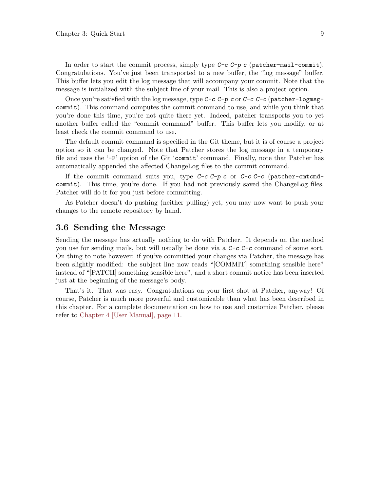<span id="page-12-0"></span>In order to start the commit process, simply type  $C-c$   $\subset$   $C-p$   $\subset$  (patcher-mail-commit). Congratulations. You've just been transported to a new buffer, the "log message" buffer. This buffer lets you edit the log message that will accompany your commit. Note that the message is initialized with the subject line of your mail. This is also a project option.

Once you're satisfied with the log message, type C-c C-p c or C-c C-c (patcher-logmsgcommit). This command computes the commit command to use, and while you think that you're done this time, you're not quite there yet. Indeed, patcher transports you to yet another buffer called the "commit command" buffer. This buffer lets you modify, or at least check the commit command to use.

The default commit command is specified in the Git theme, but it is of course a project option so it can be changed. Note that Patcher stores the log message in a temporary file and uses the '-F' option of the Git 'commit' command. Finally, note that Patcher has automatically appended the affected ChangeLog files to the commit command.

If the commit command suits you, type  $C-c$   $C-p$  c or  $C-c$  (patcher-cmtcmdcommit). This time, you're done. If you had not previously saved the ChangeLog files, Patcher will do it for you just before committing.

As Patcher doesn't do pushing (neither pulling) yet, you may now want to push your changes to the remote repository by hand.

## <span id="page-12-1"></span>3.6 Sending the Message

Sending the message has actually nothing to do with Patcher. It depends on the method you use for sending mails, but will usually be done via a  $C-c$  command of some sort. On thing to note however: if you've committed your changes via Patcher, the message has been slightly modified: the subject line now reads "[COMMIT] something sensible here" instead of "[PATCH] something sensible here", and a short commit notice has been inserted just at the beginning of the message's body.

That's it. That was easy. Congratulations on your first shot at Patcher, anyway! Of course, Patcher is much more powerful and customizable than what has been described in this chapter. For a complete documentation on how to use and customize Patcher, please refer to [Chapter 4 \[User Manual\], page 11](#page-14-0).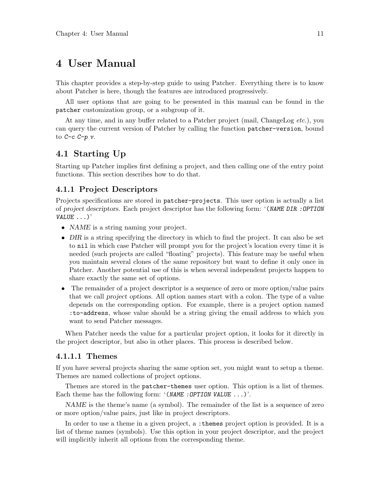## <span id="page-14-0"></span>4 User Manual

This chapter provides a step-by-step guide to using Patcher. Everything there is to know about Patcher is here, though the features are introduced progressively.

All user options that are going to be presented in this manual can be found in the patcher customization group, or a subgroup of it.

At any time, and in any buffer related to a Patcher project (mail, ChangeLog etc.), you can query the current version of Patcher by calling the function patcher-version, bound to  $C-c$   $C-p$  v.

## 4.1 Starting Up

Starting up Patcher implies first defining a project, and then calling one of the entry point functions. This section describes how to do that.

### <span id="page-14-1"></span>4.1.1 Project Descriptors

Projects specifications are stored in patcher-projects. This user option is actually a list of project descriptors. Each project descriptor has the following form: '(NAME DIR :OPTION VALUE  $\ldots$ )'

- NAME is a string naming your project.
- DIR is a string specifying the directory in which to find the project. It can also be set to nil in which case Patcher will prompt you for the project's location every time it is needed (such projects are called "floating" projects). This feature may be useful when you maintain several clones of the same repository but want to define it only once in Patcher. Another potential use of this is when several independent projects happen to share exactly the same set of options.
- The remainder of a project descriptor is a sequence of zero or more option/value pairs that we call project options. All option names start with a colon. The type of a value depends on the corresponding option. For example, there is a project option named :to-address, whose value should be a string giving the email address to which you want to send Patcher messages.

When Patcher needs the value for a particular project option, it looks for it directly in the project descriptor, but also in other places. This process is described below.

#### <span id="page-14-2"></span>4.1.1.1 Themes

If you have several projects sharing the same option set, you might want to setup a theme. Themes are named collections of project options.

Themes are stored in the patcher-themes user option. This option is a list of themes. Each theme has the following form:  $(MAME : OPTION VALUE ...)$ .

NAME is the theme's name (a symbol). The remainder of the list is a sequence of zero or more option/value pairs, just like in project descriptors.

In order to use a theme in a given project, a :themes project option is provided. It is a list of theme names (symbols). Use this option in your project descriptor, and the project will implicitly inherit all options from the corresponding theme.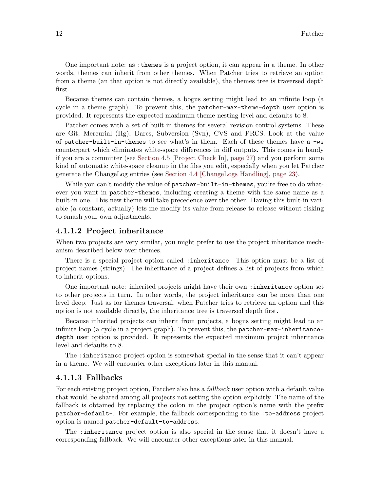<span id="page-15-0"></span>One important note: as :themes is a project option, it can appear in a theme. In other words, themes can inherit from other themes. When Patcher tries to retrieve an option from a theme (an that option is not directly available), the themes tree is traversed depth first.

Because themes can contain themes, a bogus setting might lead to an infinite loop (a cycle in a theme graph). To prevent this, the patcher-max-theme-depth user option is provided. It represents the expected maximum theme nesting level and defaults to 8.

Patcher comes with a set of built-in themes for several revision control systems. These are Git, Mercurial (Hg), Darcs, Subversion (Svn), CVS and PRCS. Look at the value of patcher-built-in-themes to see what's in them. Each of these themes have a -ws counterpart which eliminates white-space differences in diff outputs. This comes in handy if you are a committer (see [Section 4.5 \[Project Check In\], page 27\)](#page-30-1) and you perform some kind of automatic white-space cleanup in the files you edit, especially when you let Patcher generate the ChangeLog entries (see [Section 4.4 \[ChangeLogs Handling\], page 23](#page-26-1)).

While you can't modify the value of patcher-built-in-themes, you're free to do whatever you want in patcher-themes, including creating a theme with the same name as a built-in one. This new theme will take precedence over the other. Having this built-in variable (a constant, actually) lets me modify its value from release to release without risking to smash your own adjustments.

#### 4.1.1.2 Project inheritance

When two projects are very similar, you might prefer to use the project inheritance mechanism described below over themes.

There is a special project option called : inheritance. This option must be a list of project names (strings). The inheritance of a project defines a list of projects from which to inherit options.

One important note: inherited projects might have their own :inheritance option set to other projects in turn. In other words, the project inheritance can be more than one level deep. Just as for themes traversal, when Patcher tries to retrieve an option and this option is not available directly, the inheritance tree is traversed depth first.

Because inherited projects can inherit from projects, a bogus setting might lead to an infinite loop (a cycle in a project graph). To prevent this, the patcher-max-inheritancedepth user option is provided. It represents the expected maximum project inheritance level and defaults to 8.

The :inheritance project option is somewhat special in the sense that it can't appear in a theme. We will encounter other exceptions later in this manual.

#### 4.1.1.3 Fallbacks

For each existing project option, Patcher also has a fallback user option with a default value that would be shared among all projects not setting the option explicitly. The name of the fallback is obtained by replacing the colon in the project option's name with the prefix patcher-default-. For example, the fallback corresponding to the :to-address project option is named patcher-default-to-address.

The :inheritance project option is also special in the sense that it doesn't have a corresponding fallback. We will encounter other exceptions later in this manual.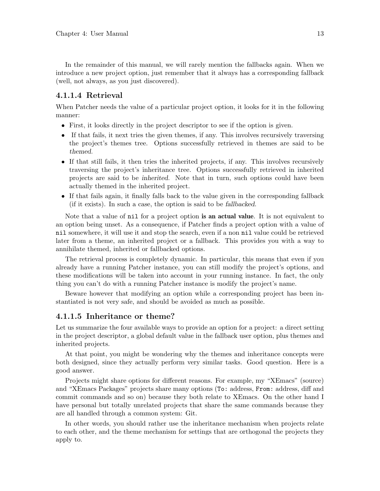<span id="page-16-0"></span>In the remainder of this manual, we will rarely mention the fallbacks again. When we introduce a new project option, just remember that it always has a corresponding fallback (well, not always, as you just discovered).

### 4.1.1.4 Retrieval

When Patcher needs the value of a particular project option, it looks for it in the following manner:

- First, it looks directly in the project descriptor to see if the option is given.
- If that fails, it next tries the given themes, if any. This involves recursively traversing the project's themes tree. Options successfully retrieved in themes are said to be themed.
- If that still fails, it then tries the inherited projects, if any. This involves recursively traversing the project's inheritance tree. Options successfully retrieved in inherited projects are said to be inherited. Note that in turn, such options could have been actually themed in the inherited project.
- If that fails again, it finally falls back to the value given in the corresponding fallback (if it exists). In such a case, the option is said to be fallbacked.

Note that a value of nil for a project option is an actual value. It is not equivalent to an option being unset. As a consequence, if Patcher finds a project option with a value of nil somewhere, it will use it and stop the search, even if a non nil value could be retrieved later from a theme, an inherited project or a fallback. This provides you with a way to annihilate themed, inherited or fallbacked options.

The retrieval process is completely dynamic. In particular, this means that even if you already have a running Patcher instance, you can still modify the project's options, and these modifications will be taken into account in your running instance. In fact, the only thing you can't do with a running Patcher instance is modify the project's name.

Beware however that modifying an option while a corresponding project has been instantiated is not very safe, and should be avoided as much as possible.

#### 4.1.1.5 Inheritance or theme?

Let us summarize the four available ways to provide an option for a project: a direct setting in the project descriptor, a global default value in the fallback user option, plus themes and inherited projects.

At that point, you might be wondering why the themes and inheritance concepts were both designed, since they actually perform very similar tasks. Good question. Here is a good answer.

Projects might share options for different reasons. For example, my "XEmacs" (source) and "XEmacs Packages" projects share many options (To: address, From: address, diff and commit commands and so on) because they both relate to XEmacs. On the other hand I have personal but totally unrelated projects that share the same commands because they are all handled through a common system: Git.

In other words, you should rather use the inheritance mechanism when projects relate to each other, and the theme mechanism for settings that are orthogonal the projects they apply to.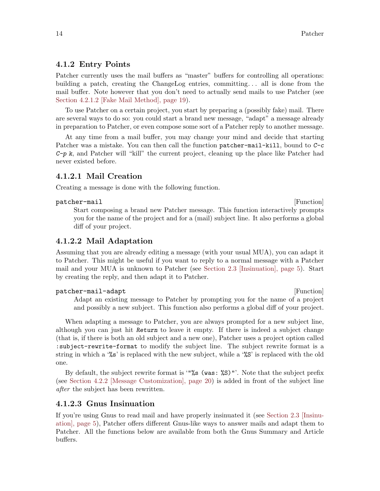#### <span id="page-17-0"></span>4.1.2 Entry Points

Patcher currently uses the mail buffers as "master" buffers for controlling all operations: building a patch, creating the ChangeLog entries, committing. . . all is done from the mail buffer. Note however that you don't need to actually send mails to use Patcher (see [Section 4.2.1.2 \[Fake Mail Method\], page 19\)](#page-22-1).

To use Patcher on a certain project, you start by preparing a (possibly fake) mail. There are several ways to do so: you could start a brand new message, "adapt" a message already in preparation to Patcher, or even compose some sort of a Patcher reply to another message.

At any time from a mail buffer, you may change your mind and decide that starting Patcher was a mistake. You can then call the function patcher-mail-kill, bound to  $C-c$ C-p k, and Patcher will "kill" the current project, cleaning up the place like Patcher had never existed before.

#### 4.1.2.1 Mail Creation

Creating a message is done with the following function.

#### patcher-mail [Function] [Function]

Start composing a brand new Patcher message. This function interactively prompts you for the name of the project and for a (mail) subject line. It also performs a global diff of your project.

#### 4.1.2.2 Mail Adaptation

Assuming that you are already editing a message (with your usual MUA), you can adapt it to Patcher. This might be useful if you want to reply to a normal message with a Patcher mail and your MUA is unknown to Patcher (see [Section 2.3 \[Insinuation\], page 5\)](#page-8-1). Start by creating the reply, and then adapt it to Patcher.

#### patcher-mail-adapt [Function] [Function]

Adapt an existing message to Patcher by prompting you for the name of a project and possibly a new subject. This function also performs a global diff of your project.

When adapting a message to Patcher, you are always prompted for a new subject line, although you can just hit Return to leave it empty. If there is indeed a subject change (that is, if there is both an old subject and a new one), Patcher uses a project option called :subject-rewrite-format to modify the subject line. The subject rewrite format is a string in which a '%s' is replaced with the new subject, while a '%S' is replaced with the old one.

By default, the subject rewrite format is '"%s (was: %S)"'. Note that the subject prefix (see [Section 4.2.2 \[Message Customization\], page 20\)](#page-23-1) is added in front of the subject line after the subject has been rewritten.

#### 4.1.2.3 Gnus Insinuation

If you're using Gnus to read mail and have properly insinuated it (see [Section 2.3 \[Insinu](#page-8-1)[ation\], page 5](#page-8-1)), Patcher offers different Gnus-like ways to answer mails and adapt them to Patcher. All the functions below are available from both the Gnus Summary and Article buffers.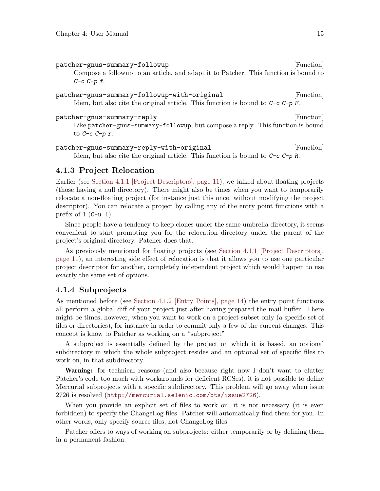<span id="page-18-0"></span>patcher-gnus-summary-followup [Function] Compose a followup to an article, and adapt it to Patcher. This function is bound to  $C-c$   $C-p$   $f$ . patcher-gnus-summary-followup-with-original [Function] Idem, but also cite the original article. This function is bound to  $C-c$   $\subset$   $C-p$  F.

patcher-gnus-summary-reply [Function] Like patcher-gnus-summary-followup, but compose a reply. This function is bound to  $C-c$   $C-p$   $r$ .

## patcher-gnus-summary-reply-with-original [Function] Idem, but also cite the original article. This function is bound to  $C-c$   $\subset$   $C-p$  R.

#### 4.1.3 Project Relocation

Earlier (see [Section 4.1.1 \[Project Descriptors\], page 11\)](#page-14-1), we talked about floating projects (those having a null directory). There might also be times when you want to temporarily relocate a non-floating project (for instance just this once, without modifying the project descriptor). You can relocate a project by calling any of the entry point functions with a prefix of  $1$  (C-u  $1$ ).

Since people have a tendency to keep clones under the same umbrella directory, it seems convenient to start prompting you for the relocation directory under the parent of the project's original directory. Patcher does that.

As previously mentioned for floating projects (see [Section 4.1.1 \[Project Descriptors\],](#page-14-1) [page 11\)](#page-14-1), an interesting side effect of relocation is that it allows you to use one particular project descriptor for another, completely independent project which would happen to use exactly the same set of options.

#### 4.1.4 Subprojects

As mentioned before (see [Section 4.1.2 \[Entry Points\], page 14\)](#page-17-0) the entry point functions all perform a global diff of your project just after having prepared the mail buffer. There might be times, however, when you want to work on a project subset only (a specific set of files or directories), for instance in order to commit only a few of the current changes. This concept is know to Patcher as working on a "subproject".

A subproject is essentially defined by the project on which it is based, an optional subdirectory in which the whole subproject resides and an optional set of specific files to work on, in that subdirectory.

Warning: for technical reasons (and also because right now I don't want to clutter Patcher's code too much with workarounds for deficient RCSes), it is not possible to define Mercurial subprojects with a specific subdirectory. This problem will go away when issue 2726 is resolved (<http://mercurial.selenic.com/bts/issue2726>).

When you provide an explicit set of files to work on, it is not necessary (it is even forbidden) to specify the ChangeLog files. Patcher will automatically find them for you. In other words, only specify source files, not ChangeLog files.

Patcher offers to ways of working on subprojects: either temporarily or by defining them in a permanent fashion.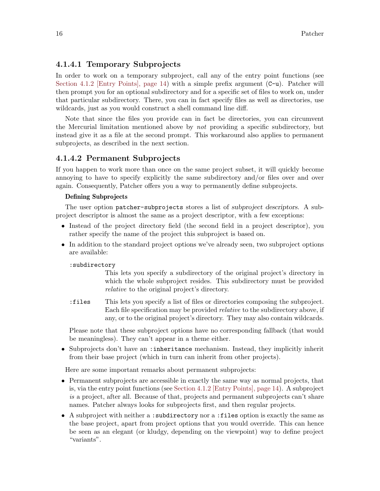### <span id="page-19-0"></span>4.1.4.1 Temporary Subprojects

In order to work on a temporary subproject, call any of the entry point functions (see [Section 4.1.2 \[Entry Points\], page 14](#page-17-0)) with a simple prefix argument  $(C-u)$ . Patcher will then prompt you for an optional subdirectory and for a specific set of files to work on, under that particular subdirectory. There, you can in fact specify files as well as directories, use wildcards, just as you would construct a shell command line diff.

Note that since the files you provide can in fact be directories, you can circumvent the Mercurial limitation mentioned above by not providing a specific subdirectory, but instead give it as a file at the second prompt. This workaround also applies to permanent subprojects, as described in the next section.

#### 4.1.4.2 Permanent Subprojects

If you happen to work more than once on the same project subset, it will quickly become annoying to have to specify explicitly the same subdirectory and/or files over and over again. Consequently, Patcher offers you a way to permanently define subprojects.

#### Defining Subprojects

The user option patcher-subprojects stores a list of subproject descriptors. A subproject descriptor is almost the same as a project descriptor, with a few exceptions:

- Instead of the project directory field (the second field in a project descriptor), you rather specify the name of the project this subproject is based on.
- In addition to the standard project options we've already seen, two subproject options are available:

#### :subdirectory

This lets you specify a subdirectory of the original project's directory in which the whole subproject resides. This subdirectory must be provided relative to the original project's directory.

:files This lets you specify a list of files or directories composing the subproject. Each file specification may be provided relative to the subdirectory above, if any, or to the original project's directory. They may also contain wildcards.

Please note that these subproject options have no corresponding fallback (that would be meaningless). They can't appear in a theme either.

• Subprojects don't have an :inheritance mechanism. Instead, they implicitly inherit from their base project (which in turn can inherit from other projects).

Here are some important remarks about permanent subprojects:

- Permanent subprojects are accessible in exactly the same way as normal projects, that is, via the entry point functions (see [Section 4.1.2 \[Entry Points\], page 14](#page-17-0)). A subproject is a project, after all. Because of that, projects and permanent subprojects can't share names. Patcher always looks for subprojects first, and then regular projects.
- A subproject with neither a : subdirectory nor a : files option is exactly the same as the base project, apart from project options that you would override. This can hence be seen as an elegant (or kludgy, depending on the viewpoint) way to define project "variants".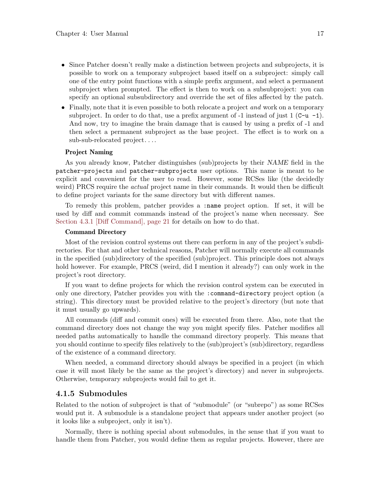- <span id="page-20-0"></span>• Since Patcher doesn't really make a distinction between projects and subprojects, it is possible to work on a temporary subproject based itself on a subproject: simply call one of the entry point functions with a simple prefix argument, and select a permanent subproject when prompted. The effect is then to work on a subsubproject: you can specify an optional subsubdirectory and override the set of files affected by the patch.
- Finally, note that it is even possible to both relocate a project *and* work on a temporary subproject. In order to do that, use a prefix argument of  $-1$  instead of just  $1$  (C-u  $-1$ ). And now, try to imagine the brain damage that is caused by using a prefix of -1 and then select a permanent subproject as the base project. The effect is to work on a sub-sub-relocated project. . ..

#### Project Naming

As you already know, Patcher distinguishes (sub)projects by their NAME field in the patcher-projects and patcher-subprojects user options. This name is meant to be explicit and convenient for the user to read. However, some RCSes like (the decidedly weird) PRCS require the *actual* project name in their commands. It would then be difficult to define project variants for the same directory but with different names.

To remedy this problem, patcher provides a :name project option. If set, it will be used by diff and commit commands instead of the project's name when necessary. See [Section 4.3.1 \[Diff Command\], page 21](#page-24-1) for details on how to do that.

#### Command Directory

Most of the revision control systems out there can perform in any of the project's subdirectories. For that and other technical reasons, Patcher will normally execute all commands in the specified (sub)directory of the specified (sub)project. This principle does not always hold however. For example, PRCS (weird, did I mention it already?) can only work in the project's root directory.

If you want to define projects for which the revision control system can be executed in only one directory, Patcher provides you with the :command-directory project option (a string). This directory must be provided relative to the project's directory (but note that it must usually go upwards).

All commands (diff and commit ones) will be executed from there. Also, note that the command directory does not change the way you might specify files. Patcher modifies all needed paths automatically to handle the command directory properly. This means that you should continue to specify files relatively to the (sub)project's (sub)directory, regardless of the existence of a command directory.

When needed, a command directory should always be specified in a project (in which case it will most likely be the same as the project's directory) and never in subprojects. Otherwise, temporary subprojects would fail to get it.

#### 4.1.5 Submodules

Related to the notion of subproject is that of "submodule" (or "subrepo") as some RCSes would put it. A submodule is a standalone project that appears under another project (so it looks like a subproject, only it isn't).

Normally, there is nothing special about submodules, in the sense that if you want to handle them from Patcher, you would define them as regular projects. However, there are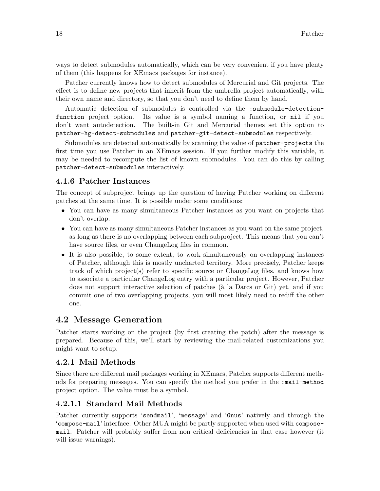<span id="page-21-0"></span>ways to detect submodules automatically, which can be very convenient if you have plenty of them (this happens for XEmacs packages for instance).

Patcher currently knows how to detect submodules of Mercurial and Git projects. The effect is to define new projects that inherit from the umbrella project automatically, with their own name and directory, so that you don't need to define them by hand.

Automatic detection of submodules is controlled via the :submodule-detectionfunction project option. Its value is a symbol naming a function, or nil if you don't want autodetection. The built-in Git and Mercurial themes set this option to patcher-hg-detect-submodules and patcher-git-detect-submodules respectively.

Submodules are detected automatically by scanning the value of patcher-projects the first time you use Patcher in an XEmacs session. If you further modify this variable, it may be needed to recompute the list of known submodules. You can do this by calling patcher-detect-submodules interactively.

### 4.1.6 Patcher Instances

The concept of subproject brings up the question of having Patcher working on different patches at the same time. It is possible under some conditions:

- You can have as many simultaneous Patcher instances as you want on projects that don't overlap.
- You can have as many simultaneous Patcher instances as you want on the same project, as long as there is no overlapping between each subproject. This means that you can't have source files, or even ChangeLog files in common.
- It is also possible, to some extent, to work simultaneously on overlapping instances of Patcher, although this is mostly uncharted territory. More precisely, Patcher keeps track of which project(s) refer to specific source or ChangeLog files, and knows how to associate a particular ChangeLog entry with a particular project. However, Patcher does not support interactive selection of patches (à la Darcs or Git) yet, and if you commit one of two overlapping projects, you will most likely need to rediff the other one.

## 4.2 Message Generation

Patcher starts working on the project (by first creating the patch) after the message is prepared. Because of this, we'll start by reviewing the mail-related customizations you might want to setup.

## <span id="page-21-1"></span>4.2.1 Mail Methods

Since there are different mail packages working in XEmacs, Patcher supports different methods for preparing messages. You can specify the method you prefer in the :mail-method project option. The value must be a symbol.

## 4.2.1.1 Standard Mail Methods

Patcher currently supports 'sendmail', 'message' and 'Gnus' natively and through the 'compose-mail' interface. Other MUA might be partly supported when used with composemail. Patcher will probably suffer from non critical deficiencies in that case however (it will issue warnings).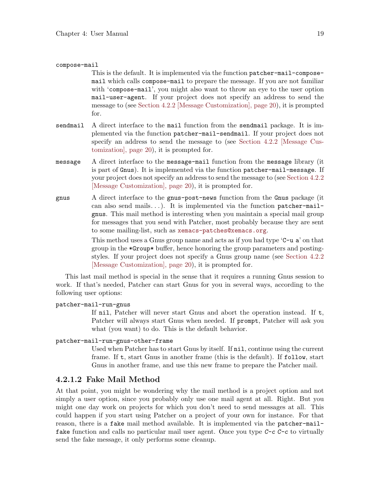#### <span id="page-22-0"></span>compose-mail

This is the default. It is implemented via the function patcher-mail-composemail which calls compose-mail to prepare the message. If you are not familiar with 'compose-mail', you might also want to throw an eye to the user option mail-user-agent. If your project does not specify an address to send the message to (see [Section 4.2.2 \[Message Customization\], page 20\)](#page-23-1), it is prompted for.

- sendmail A direct interface to the mail function from the sendmail package. It is implemented via the function patcher-mail-sendmail. If your project does not specify an address to send the message to (see [Section 4.2.2 \[Message Cus](#page-23-1)[tomization\], page 20\)](#page-23-1), it is prompted for.
- message A direct interface to the message-mail function from the message library (it is part of Gnus). It is implemented via the function patcher-mail-message. If your project does not specify an address to send the message to (see [Section 4.2.2](#page-23-1) [\[Message Customization\], page 20\)](#page-23-1), it is prompted for.
- gnus A direct interface to the gnus-post-news function from the Gnus package (it can also send mails...). It is implemented via the function  $\texttt{patternail}$ gnus. This mail method is interesting when you maintain a special mail group for messages that you send with Patcher, most probably because they are sent to some mailing-list, such as [xemacs-patches@xemacs.org](mailto:xemacs-patches@xemacs.org).

This method uses a Gnus group name and acts as if you had type 'C-u a' on that group in the \*Group\* buffer, hence honoring the group parameters and postingstyles. If your project does not specify a Gnus group name (see [Section 4.2.2](#page-23-1) [\[Message Customization\], page 20\)](#page-23-1), it is prompted for.

This last mail method is special in the sense that it requires a running Gnus session to work. If that's needed, Patcher can start Gnus for you in several ways, according to the following user options:

#### patcher-mail-run-gnus

If nil, Patcher will never start Gnus and abort the operation instead. If t, Patcher will always start Gnus when needed. If prompt, Patcher will ask you what (you want) to do. This is the default behavior.

#### patcher-mail-run-gnus-other-frame

Used when Patcher has to start Gnus by itself. If nil, continue using the current frame. If t, start Gnus in another frame (this is the default). If follow, start Gnus in another frame, and use this new frame to prepare the Patcher mail.

### <span id="page-22-1"></span>4.2.1.2 Fake Mail Method

At that point, you might be wondering why the mail method is a project option and not simply a user option, since you probably only use one mail agent at all. Right. But you might one day work on projects for which you don't need to send messages at all. This could happen if you start using Patcher on a project of your own for instance. For that reason, there is a fake mail method available. It is implemented via the patcher-mailfake function and calls no particular mail user agent. Once you type  $C-c$   $-c$  to virtually send the fake message, it only performs some cleanup.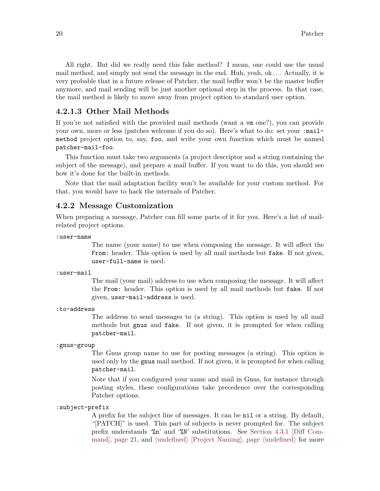<span id="page-23-0"></span>All right. But did we really need this fake method? I mean, one could use the usual mail method, and simply not send the message in the end. Huh, yeah, ok. . . Actually, it is very probable that in a future release of Patcher, the mail buffer won't be the master buffer anymore, and mail sending will be just another optional step in the process. In that case, the mail method is likely to move away from project option to standard user option.

### 4.2.1.3 Other Mail Methods

If you're not satisfied with the provided mail methods (want a vm one?), you can provide your own, more or less (patches welcome if you do so). Here's what to do: set your :mailmethod project option to, say, foo, and write your own function which must be named patcher-mail-foo.

This function must take two arguments (a project descriptor and a string containing the subject of the message), and prepare a mail buffer. If you want to do this, you should see how it's done for the built-in methods.

Note that the mail adaptation facility won't be available for your custom method. For that, you would have to hack the internals of Patcher.

#### <span id="page-23-1"></span>4.2.2 Message Customization

When preparing a message, Patcher can fill some parts of it for you. Here's a list of mailrelated project options.

#### :user-name

The name (your name) to use when composing the message. It will affect the From: header. This option is used by all mail methods but fake. If not given, user-full-name is used.

```
:user-mail
```
The mail (your mail) address to use when composing the message. It will affect the From: header. This option is used by all mail methods but fake. If not given, user-mail-address is used.

```
:to-address
```
The address to send messages to (a string). This option is used by all mail methods but gnus and fake. If not given, it is prompted for when calling patcher-mail.

```
:gnus-group
```
The Gnus group name to use for posting messages (a string). This option is used only by the gnus mail method. If not given, it is prompted for when calling patcher-mail.

Note that if you configured your name and mail in Gnus, for instance through posting styles, these configurations take precedence over the corresponding Patcher options.

```
:subject-prefix
```
A prefix for the subject line of messages. It can be nil or a string. By default, "[PATCH]" is used. This part of subjects is never prompted for. The subject prefix understands '%n' and '%N' substitutions. See [Section 4.3.1 \[Diff Com](#page-24-1)mand, page 21, and  $\langle$ undefined $\rangle$  [\[Project Naming\], page](#page-0-0)  $\langle$ undefined $\rangle$  for more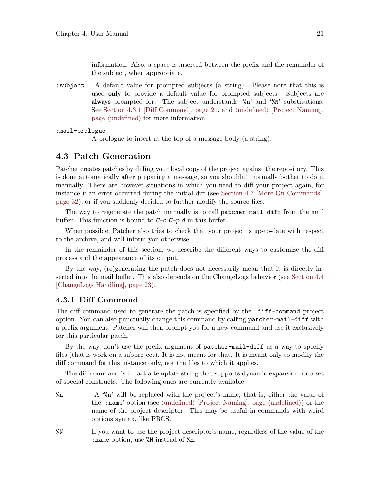information. Also, a space is inserted between the prefix and the remainder of the subject, when appropriate.

<span id="page-24-0"></span>:subject A default value for prompted subjects (a string). Please note that this is used only to provide a default value for prompted subjects. Subjects are always prompted for. The subject understands '%n' and '%N' substitutions. See [Section 4.3.1 \[Diff Command\], page 21,](#page-24-1) and  $\langle$  undefined $\rangle$  [\[Project Naming\],](#page-0-0) page  $\langle$ [undefined](#page-0-0) $\rangle$  for more information.

```
:mail-prologue
```
A prologue to insert at the top of a message body (a string).

## 4.3 Patch Generation

Patcher creates patches by diffing your local copy of the project against the repository. This is done automatically after preparing a message, so you shouldn't normally bother to do it manually. There are however situations in which you need to diff your project again, for instance if an error occurred during the initial diff (see [Section 4.7 \[More On Commands\],](#page-35-1) [page 32](#page-35-1)), or if you suddenly decided to further modify the source files.

The way to regenerate the patch manually is to call patcher-mail-diff from the mail buffer. This function is bound to  $C-c$   $C-p$  d in this buffer.

When possible, Patcher also tries to check that your project is up-to-date with respect to the archive, and will inform you otherwise.

In the remainder of this section, we describe the different ways to customize the diff process and the appearance of its output.

By the way, (re)generating the patch does not necessarily mean that it is directly inserted into the mail buffer. This also depends on the ChangeLogs behavior (see [Section 4.4](#page-26-1) [\[ChangeLogs Handling\], page 23\)](#page-26-1).

## <span id="page-24-1"></span>4.3.1 Diff Command

The diff command used to generate the patch is specified by the :diff-command project option. You can also punctually change this command by calling patcher-mail-diff with a prefix argument. Patcher will then prompt you for a new command and use it exclusively for this particular patch.

By the way, don't use the prefix argument of patcher-mail-diff as a way to specify files (that is work on a subproject). It is not meant for that. It is meant only to modify the diff command for this instance only, not the files to which it applies.

The diff command is in fact a template string that supports dynamic expansion for a set of special constructs. The following ones are currently available.

- $\gamma_{n}$  A  $\gamma_{n}$  will be replaced with the project's name, that is, either the value of the ':name' option (see  $\langle$ undefined $\rangle$  [\[Project Naming\], page](#page-0-0)  $\langle$ undefined $\rangle$ ) or the name of the project descriptor. This may be useful in commands with weird options syntax, like PRCS.
- %N If you want to use the project descriptor's name, regardless of the value of the : name option, use  $\frac{1}{N}$  instead of  $\frac{1}{N}$ n.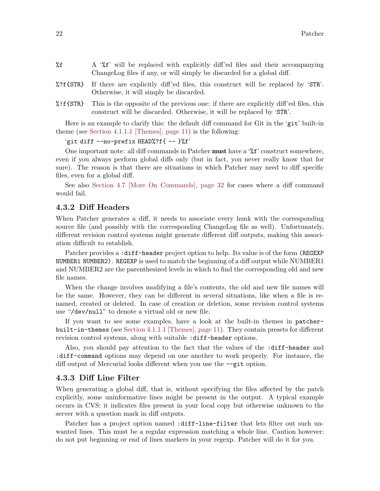#### <span id="page-25-0"></span> $^{\prime\prime}$  A ' $^{\prime\prime}$ ' will be replaced with explicitly diff'ed files and their accompanying ChangeLog files if any, or will simply be discarded for a global diff.

- %?f{STR} If there are explicitly diff'ed files, this construct will be replaced by 'STR'. Otherwise, it will simply be discarded.
- $^{\prime\prime}$ ! f{STR} This is the opposite of the previous one: if there are explicitly diff'ed files, this construct will be discarded. Otherwise, it will be replaced by 'STR'.

Here is an example to clarify this: the default diff command for Git in the 'git' built-in theme (see [Section 4.1.1.1 \[Themes\], page 11](#page-14-2)) is the following:

#### 'git diff --no-prefix HEAD%?f{ -- }%f'

One important note: all diff commands in Patcher must have a '%f' construct somewhere, even if you always perform global diffs only (but in fact, you never really know that for sure). The reason is that there are situations in which Patcher may need to diff specific files, even for a global diff.

See also [Section 4.7 \[More On Commands\], page 32](#page-35-1) for cases where a diff command would fail.

#### <span id="page-25-1"></span>4.3.2 Diff Headers

When Patcher generates a diff, it needs to associate every hunk with the corresponding source file (and possibly with the corresponding ChangeLog file as well). Unfortunately, different revision control systems might generate different diff outputs, making this association difficult to establish.

Patcher provides a :diff-header project option to help. Its value is of the form (REGEXP) NUMBER1 NUMBER2). REGEXP is used to match the beginning of a diff output while NUMBER1 and NUMBER2 are the parenthesized levels in which to find the corresponding old and new file names.

When the change involves modifying a file's contents, the old and new file names will be the same. However, they can be different in several situations, like when a file is renamed, created or deleted. In case of creation or deletion, some revision control systems use "/dev/null" to denote a virtual old or new file.

If you want to see some examples, have a look at the built-in themes in patcherbuilt-in-themes (see [Section 4.1.1.1 \[Themes\], page 11\)](#page-14-2). They contain presets for different revision control systems, along with suitable :diff-header options.

Also, you should pay attention to the fact that the values of the :diff-header and :diff-command options may depend on one another to work properly. For instance, the diff output of Mercurial looks different when you use the --git option.

#### 4.3.3 Diff Line Filter

When generating a global diff, that is, without specifying the files affected by the patch explicitly, some uninformative lines might be present in the output. A typical example occurs in CVS: it indicates files present in your local copy but otherwise unknown to the server with a question mark in diff outputs.

Patcher has a project option named :diff-line-filter that lets filter out such unwanted lines. This must be a regular expression matching a whole line. Caution however: do not put beginning or end of lines markers in your regexp. Patcher will do it for you.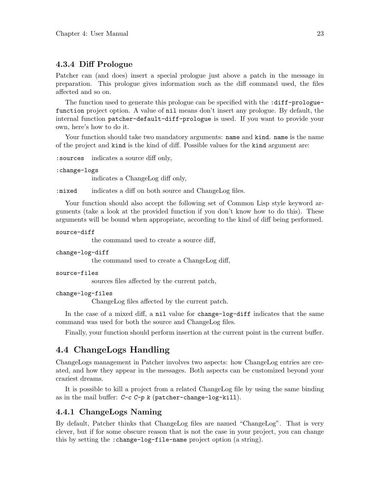#### <span id="page-26-0"></span>4.3.4 Diff Prologue

Patcher can (and does) insert a special prologue just above a patch in the message in preparation. This prologue gives information such as the diff command used, the files affected and so on.

The function used to generate this prologue can be specified with the :diff-prologuefunction project option. A value of nil means don't insert any prologue. By default, the internal function patcher-default-diff-prologue is used. If you want to provide your own, here's how to do it.

Your function should take two mandatory arguments: name and kind. name is the name of the project and kind is the kind of diff. Possible values for the kind argument are:

:sources indicates a source diff only,

```
:change-logs
```
indicates a ChangeLog diff only,

:mixed indicates a diff on both source and ChangeLog files.

Your function should also accept the following set of Common Lisp style keyword arguments (take a look at the provided function if you don't know how to do this). These arguments will be bound when appropriate, according to the kind of diff being performed.

```
source-diff
```
the command used to create a source diff,

```
change-log-diff
```
the command used to create a ChangeLog diff,

```
source-files
```
sources files affected by the current patch,

```
change-log-files
```
ChangeLog files affected by the current patch.

In the case of a mixed diff, a nil value for change-log-diff indicates that the same command was used for both the source and ChangeLog files.

Finally, your function should perform insertion at the current point in the current buffer.

## <span id="page-26-1"></span>4.4 ChangeLogs Handling

ChangeLogs management in Patcher involves two aspects: how ChangeLog entries are created, and how they appear in the messages. Both aspects can be customized beyond your craziest dreams.

It is possible to kill a project from a related ChangeLog file by using the same binding as in the mail buffer:  $C-c$   $C-p$  k (patcher-change-log-kill).

### 4.4.1 ChangeLogs Naming

By default, Patcher thinks that ChangeLog files are named "ChangeLog". That is very clever, but if for some obscure reason that is not the case in your project, you can change this by setting the :change-log-file-name project option (a string).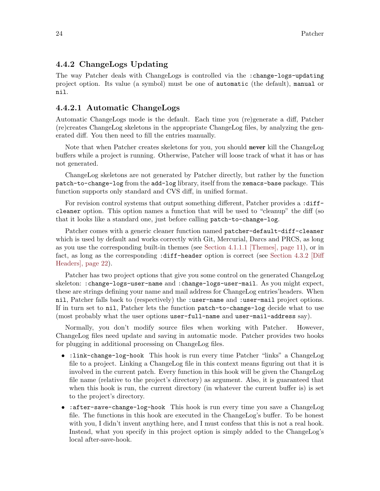#### <span id="page-27-0"></span>4.4.2 ChangeLogs Updating

The way Patcher deals with ChangeLogs is controlled via the :change-logs-updating project option. Its value (a symbol) must be one of automatic (the default), manual or nil.

#### <span id="page-27-1"></span>4.4.2.1 Automatic ChangeLogs

Automatic ChangeLogs mode is the default. Each time you (re)generate a diff, Patcher (re)creates ChangeLog skeletons in the appropriate ChangeLog files, by analyzing the generated diff. You then need to fill the entries manually.

Note that when Patcher creates skeletons for you, you should never kill the ChangeLog buffers while a project is running. Otherwise, Patcher will loose track of what it has or has not generated.

ChangeLog skeletons are not generated by Patcher directly, but rather by the function patch-to-change-log from the add-log library, itself from the xemacs-base package. This function supports only standard and CVS diff, in unified format.

For revision control systems that output something different, Patcher provides a :diffcleaner option. This option names a function that will be used to "cleanup" the diff (so that it looks like a standard one, just before calling patch-to-change-log.

Patcher comes with a generic cleaner function named patcher-default-diff-cleaner which is used by default and works correctly with Git, Mercurial, Darcs and PRCS, as long as you use the corresponding built-in themes (see [Section 4.1.1.1 \[Themes\], page 11\)](#page-14-2), or in fact, as long as the corresponding : diff-header option is correct (see [Section 4.3.2 \[Diff](#page-25-1) [Headers\], page 22](#page-25-1)).

Patcher has two project options that give you some control on the generated ChangeLog skeleton: :change-logs-user-name and :change-logs-user-mail. As you might expect, these are strings defining your name and mail address for ChangeLog entries'headers. When nil, Patcher falls back to (respectively) the :user-name and :user-mail project options. If in turn set to nil, Patcher lets the function patch-to-change-log decide what to use (most probably what the user options user-full-name and user-mail-address say).

Normally, you don't modify source files when working with Patcher. However, ChangeLog files need update and saving in automatic mode. Patcher provides two hooks for plugging in additional processing on ChangeLog files.

- :link-change-log-hook This hook is run every time Patcher "links" a ChangeLog file to a project. Linking a ChangeLog file in this context means figuring out that it is involved in the current patch. Every function in this hook will be given the ChangeLog file name (relative to the project's directory) as argument. Also, it is guaranteed that when this hook is run, the current directory (in whatever the current buffer is) is set to the project's directory.
- :after-save-change-log-hook This hook is run every time you save a ChangeLog file. The functions in this hook are executed in the ChangeLog's buffer. To be honest with you, I didn't invent anything here, and I must confess that this is not a real hook. Instead, what you specify in this project option is simply added to the ChangeLog's local after-save-hook.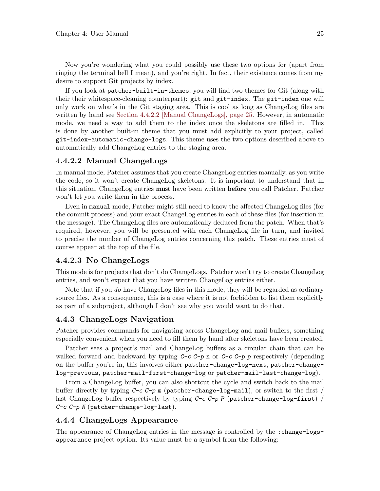<span id="page-28-0"></span>Now you're wondering what you could possibly use these two options for (apart from ringing the terminal bell I mean), and you're right. In fact, their existence comes from my desire to support Git projects by index.

If you look at patcher-built-in-themes, you will find two themes for Git (along with their their whitespace-cleaning counterpart): git and git-index. The git-index one will only work on what's in the Git staging area. This is cool as long as ChangeLog files are written by hand see [Section 4.4.2.2 \[Manual ChangeLogs\], page 25.](#page-28-1) However, in automatic mode, we need a way to add them to the index once the skeletons are filled in. This is done by another built-in theme that you must add explicitly to your project, called git-index-automatic-change-logs. This theme uses the two options described above to automatically add ChangeLog entries to the staging area.

#### <span id="page-28-1"></span>4.4.2.2 Manual ChangeLogs

In manual mode, Patcher assumes that you create ChangeLog entries manually, as you write the code, so it won't create ChangeLog skeletons. It is important to understand that in this situation, ChangeLog entries must have been written before you call Patcher. Patcher won't let you write them in the process.

Even in manual mode, Patcher might still need to know the affected ChangeLog files (for the commit process) and your exact ChangeLog entries in each of these files (for insertion in the message). The ChangeLog files are automatically deduced from the patch. When that's required, however, you will be presented with each ChangeLog file in turn, and invited to precise the number of ChangeLog entries concerning this patch. These entries must of course appear at the top of the file.

#### 4.4.2.3 No ChangeLogs

This mode is for projects that don't do ChangeLogs. Patcher won't try to create ChangeLog entries, and won't expect that you have written ChangeLog entries either.

Note that if you *do* have ChangeLog files in this mode, they will be regarded as ordinary source files. As a consequence, this is a case where it is not forbidden to list them explicitly as part of a subproject, although I don't see why you would want to do that.

### 4.4.3 ChangeLogs Navigation

Patcher provides commands for navigating across ChangeLog and mail buffers, something especially convenient when you need to fill them by hand after skeletons have been created.

Patcher sees a project's mail and ChangeLog buffers as a circular chain that can be walked forward and backward by typing  $C-c$   $C-p$  n or  $C-c$   $C-p$  p respectively (depending on the buffer you're in, this involves either patcher-change-log-next, patcher-changelog-previous, patcher-mail-first-change-log or patcher-mail-last-change-log).

From a ChangeLog buffer, you can also shortcut the cycle and switch back to the mail buffer directly by typing  $C-c$   $C-p$  m (patcher-change-log-mail), or switch to the first / last ChangeLog buffer respectively by typing  $C-c$   $C-p$  P (patcher-change-log-first) /  $C-c$   $C-p$   $N$  (patcher-change-log-last).

#### <span id="page-28-2"></span>4.4.4 ChangeLogs Appearance

The appearance of ChangeLog entries in the message is controlled by the :change-logsappearance project option. Its value must be a symbol from the following: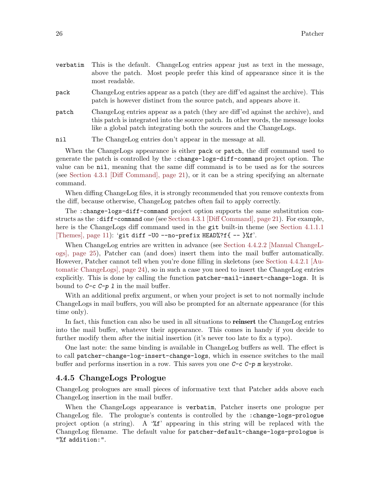<span id="page-29-0"></span>

| verbatim This is the default. ChangeLog entries appear just as text in the message, |
|-------------------------------------------------------------------------------------|
| above the patch. Most people prefer this kind of appearance since it is the         |
| most readable.                                                                      |

- pack ChangeLog entries appear as a patch (they are diff'ed against the archive). This patch is however distinct from the source patch, and appears above it.
- patch ChangeLog entries appear as a patch (they are diff'ed against the archive), and this patch is integrated into the source patch. In other words, the message looks like a global patch integrating both the sources and the ChangeLogs.

nil The ChangeLog entries don't appear in the message at all.

When the ChangeLogs appearance is either pack or patch, the diff command used to generate the patch is controlled by the :change-logs-diff-command project option. The value can be nil, meaning that the same diff command is to be used as for the sources (see [Section 4.3.1 \[Diff Command\], page 21\)](#page-24-1), or it can be a string specifying an alternate command.

When diffing ChangeLog files, it is strongly recommended that you remove contexts from the diff, because otherwise, ChangeLog patches often fail to apply correctly.

The :change-logs-diff-command project option supports the same substitution constructs as the :diff-command one (see [Section 4.3.1 \[Diff Command\], page 21\)](#page-24-1). For example, here is the ChangeLogs diff command used in the git built-in theme (see [Section 4.1.1.1](#page-14-2)) [\[Themes\], page 11](#page-14-2)): 'git diff -U0 --no-prefix HEAD%?f{ --  $\frac{1}{6}$ .

When ChangeLog entries are written in advance (see [Section 4.4.2.2 \[Manual ChangeL](#page-28-1)[ogs\], page 25](#page-28-1)), Patcher can (and does) insert them into the mail buffer automatically. However, Patcher cannot tell when you're done filling in skeletons (see [Section 4.4.2.1 \[Au](#page-27-1)[tomatic ChangeLogs\], page 24](#page-27-1)), so in such a case you need to insert the ChangeLog entries explicitly. This is done by calling the function patcher-mail-insert-change-logs. It is bound to  $C\neg c\neg p$   $1$  in the mail buffer.

With an additional prefix argument, or when your project is set to not normally include ChangeLogs in mail buffers, you will also be prompted for an alternate appearance (for this time only).

In fact, this function can also be used in all situations to reinsert the ChangeLog entries into the mail buffer, whatever their appearance. This comes in handy if you decide to further modify them after the initial insertion (it's never too late to fix a typo).

One last note: the same binding is available in ChangeLog buffers as well. The effect is to call patcher-change-log-insert-change-logs, which in essence switches to the mail buffer and performs insertion in a row. This saves you one  $C-c$ - $p$  m keystroke.

#### 4.4.5 ChangeLogs Prologue

ChangeLog prologues are small pieces of informative text that Patcher adds above each ChangeLog insertion in the mail buffer.

When the ChangeLogs appearance is verbatim, Patcher inserts one prologue per ChangeLog file. The prologue's contents is controlled by the :change-logs-prologue project option (a string). A ' $\mathcal{L}$  appearing in this string will be replaced with the ChangeLog filename. The default value for patcher-default-change-logs-prologue is "%f addition:".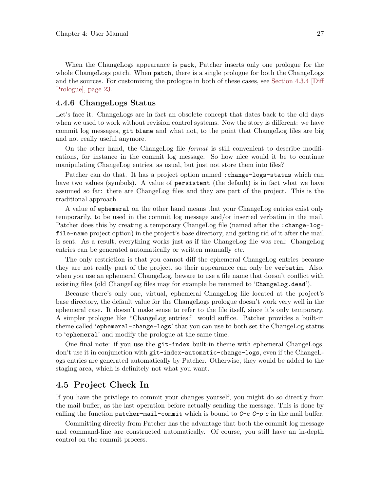<span id="page-30-0"></span>When the ChangeLogs appearance is pack, Patcher inserts only one prologue for the whole ChangeLogs patch. When patch, there is a single prologue for both the ChangeLogs and the sources. For customizing the prologue in both of these cases, see [Section 4.3.4 \[Diff](#page-26-0) [Prologue\], page 23](#page-26-0).

#### 4.4.6 ChangeLogs Status

Let's face it. ChangeLogs are in fact an obsolete concept that dates back to the old days when we used to work without revision control systems. Now the story is different: we have commit log messages, git blame and what not, to the point that ChangeLog files are big and not really useful anymore.

On the other hand, the ChangeLog file format is still convenient to describe modifications, for instance in the commit log message. So how nice would it be to continue manipulating ChangeLog entries, as usual, but just not store them into files?

Patcher can do that. It has a project option named :change-logs-status which can have two values (symbols). A value of persistent (the default) is in fact what we have assumed so far: there are ChangeLog files and they are part of the project. This is the traditional approach.

A value of ephemeral on the other hand means that your ChangeLog entries exist only temporarily, to be used in the commit log message and/or inserted verbatim in the mail. Patcher does this by creating a temporary ChangeLog file (named after the :change-logfile-name project option) in the project's base directory, and getting rid of it after the mail is sent. As a result, everything works just as if the ChangeLog file was real: ChangeLog entries can be generated automatically or written manually *etc*.

The only restriction is that you cannot diff the ephemeral ChangeLog entries because they are not really part of the project, so their appearance can only be verbatim. Also, when you use an ephemeral ChangeLog, beware to use a file name that doesn't conflict with existing files (old ChangeLog files may for example be renamed to 'ChangeLog.dead').

Because there's only one, virtual, ephemeral ChangeLog file located at the project's base directory, the default value for the ChangeLogs prologue doesn't work very well in the ephemeral case. It doesn't make sense to refer to the file itself, since it's only temporary. A simpler prologue like "ChangeLog entries:" would suffice. Patcher provides a built-in theme called 'ephemeral-change-logs' that you can use to both set the ChangeLog status to 'ephemeral' and modify the prologue at the same time.

One final note: if you use the git-index built-in theme with ephemeral ChangeLogs, don't use it in conjunction with git-index-automatic-change-logs, even if the ChangeLogs entries are generated automatically by Patcher. Otherwise, they would be added to the staging area, which is definitely not what you want.

## <span id="page-30-1"></span>4.5 Project Check In

If you have the privilege to commit your changes yourself, you might do so directly from the mail buffer, as the last operation before actually sending the message. This is done by calling the function patcher-mail-commit which is bound to  $C-c$   $C-p$  c in the mail buffer.

Committing directly from Patcher has the advantage that both the commit log message and command-line are constructed automatically. Of course, you still have an in-depth control on the commit process.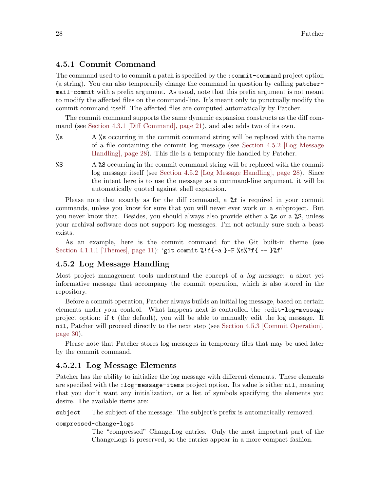#### <span id="page-31-0"></span>4.5.1 Commit Command

The command used to to commit a patch is specified by the : commit-command project option (a string). You can also temporarily change the command in question by calling patchermail-commit with a prefix argument. As usual, note that this prefix argument is not meant to modify the affected files on the command-line. It's meant only to punctually modify the commit command itself. The affected files are computed automatically by Patcher.

The commit command supports the same dynamic expansion constructs as the diff command (see [Section 4.3.1 \[Diff Command\], page 21\)](#page-24-1), and also adds two of its own.

- %s A %s occurring in the commit command string will be replaced with the name of a file containing the commit log message (see [Section 4.5.2 \[Log Message](#page-31-1) [Handling\], page 28\)](#page-31-1). This file is a temporary file handled by Patcher.
- %S A %S occurring in the commit command string will be replaced with the commit log message itself (see [Section 4.5.2 \[Log Message Handling\], page 28](#page-31-1)). Since the intent here is to use the message as a command-line argument, it will be automatically quoted against shell expansion.

Please note that exactly as for the diff command, a %f is required in your commit commands, unless you know for sure that you will never ever work on a subproject. But you never know that. Besides, you should always also provide either a %s or a %S, unless your archival software does not support log messages. I'm not actually sure such a beast exists.

As an example, here is the commit command for the Git built-in theme (see [Section 4.1.1.1 \[Themes\], page 11\)](#page-14-2): 'git commit %!f{-a}-F %s%?f{ -- }%f'

## <span id="page-31-1"></span>4.5.2 Log Message Handling

Most project management tools understand the concept of a log message: a short yet informative message that accompany the commit operation, which is also stored in the repository.

Before a commit operation, Patcher always builds an initial log message, based on certain elements under your control. What happens next is controlled the :edit-log-message project option: if t (the default), you will be able to manually edit the log message. If nil, Patcher will proceed directly to the next step (see [Section 4.5.3 \[Commit Operation\],](#page-33-1) [page 30](#page-33-1)).

Please note that Patcher stores log messages in temporary files that may be used later by the commit command.

#### <span id="page-31-2"></span>4.5.2.1 Log Message Elements

Patcher has the ability to initialize the log message with different elements. These elements are specified with the :log-message-items project option. Its value is either nil, meaning that you don't want any initialization, or a list of symbols specifying the elements you desire. The available items are:

subject The subject of the message. The subject's prefix is automatically removed.

#### compressed-change-logs

The "compressed" ChangeLog entries. Only the most important part of the ChangeLogs is preserved, so the entries appear in a more compact fashion.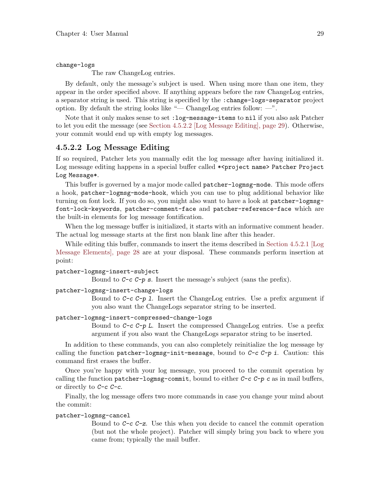<span id="page-32-0"></span>change-logs

The raw ChangeLog entries.

By default, only the message's subject is used. When using more than one item, they appear in the order specified above. If anything appears before the raw ChangeLog entries, a separator string is used. This string is specified by the :change-logs-separator project option. By default the string looks like "— ChangeLog entries follow:  $-\n$ ".

Note that it only makes sense to set :log-message-items to nil if you also ask Patcher to let you edit the message (see [Section 4.5.2.2 \[Log Message Editing\], page 29](#page-32-1)). Otherwise, your commit would end up with empty log messages.

#### <span id="page-32-1"></span>4.5.2.2 Log Message Editing

If so required, Patcher lets you manually edit the log message after having initialized it. Log message editing happens in a special buffer called \*<project name> Patcher Project Log Message\*.

This buffer is governed by a major mode called patcher-logmsg-mode. This mode offers a hook, patcher-logmsg-mode-hook, which you can use to plug additional behavior like turning on font lock. If you do so, you might also want to have a look at patcher-logmsgfont-lock-keywords, patcher-comment-face and patcher-reference-face which are the built-in elements for log message fontification.

When the log message buffer is initialized, it starts with an informative comment header. The actual log message starts at the first non blank line after this header.

While editing this buffer, commands to insert the items described in [Section 4.5.2.1 \[Log](#page-31-2) [Message Elements\], page 28](#page-31-2) are at your disposal. These commands perform insertion at point:

```
patcher-logmsg-insert-subject
```
Bound to C-c C-p s. Insert the message's subject (sans the prefix).

```
patcher-logmsg-insert-change-logs
```
Bound to  $C-c$   $C-p$  1. Insert the ChangeLog entries. Use a prefix argument if you also want the ChangeLogs separator string to be inserted.

#### patcher-logmsg-insert-compressed-change-logs

Bound to  $C-c$   $\subset$   $C-p$  L. Insert the compressed ChangeLog entries. Use a prefix argument if you also want the ChangeLogs separator string to be inserted.

In addition to these commands, you can also completely reinitialize the log message by calling the function patcher-logmsg-init-message, bound to  $C-c$   $C-p$  i. Caution: this command first erases the buffer.

Once you're happy with your log message, you proceed to the commit operation by calling the function patcher-logmsg-commit, bound to either  $C-c$   $C-p$  c as in mail buffers, or directly to C-c C-c.

Finally, the log message offers two more commands in case you change your mind about the commit:

#### patcher-logmsg-cancel

Bound to  $C-c$  -z. Use this when you decide to cancel the commit operation (but not the whole project). Patcher will simply bring you back to where you came from; typically the mail buffer.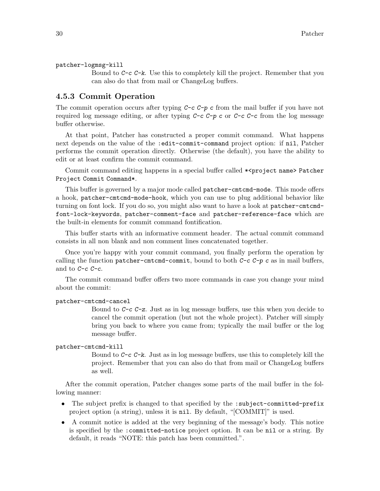```
patcher-logmsg-kill
```
Bound to  $C-c$   $C-k$ . Use this to completely kill the project. Remember that you can also do that from mail or ChangeLog buffers.

## <span id="page-33-1"></span>4.5.3 Commit Operation

The commit operation occurs after typing  $C-c$   $C-p$  c from the mail buffer if you have not required log message editing, or after typing  $C-c$   $C-p$  c or  $C-c$  from the log message buffer otherwise.

At that point, Patcher has constructed a proper commit command. What happens next depends on the value of the :edit-commit-command project option: if nil, Patcher performs the commit operation directly. Otherwise (the default), you have the ability to edit or at least confirm the commit command.

Commit command editing happens in a special buffer called \*<project name> Patcher Project Commit Command\*.

This buffer is governed by a major mode called patcher-cmtcmd-mode. This mode offers a hook, patcher-cmtcmd-mode-hook, which you can use to plug additional behavior like turning on font lock. If you do so, you might also want to have a look at patcher-cmtcmdfont-lock-keywords, patcher-comment-face and patcher-reference-face which are the built-in elements for commit command fontification.

This buffer starts with an informative comment header. The actual commit command consists in all non blank and non comment lines concatenated together.

Once you're happy with your commit command, you finally perform the operation by calling the function patcher-cmtcmd-commit, bound to both  $C-c$   $C-p$  c as in mail buffers, and to  $C-c$   $C-c$ .

The commit command buffer offers two more commands in case you change your mind about the commit:

#### patcher-cmtcmd-cancel

Bound to C-c C-z. Just as in log message buffers, use this when you decide to cancel the commit operation (but not the whole project). Patcher will simply bring you back to where you came from; typically the mail buffer or the log message buffer.

```
patcher-cmtcmd-kill
```
Bound to  $C-c$   $C-k$ . Just as in log message buffers, use this to completely kill the project. Remember that you can also do that from mail or ChangeLog buffers as well.

After the commit operation, Patcher changes some parts of the mail buffer in the following manner:

- The subject prefix is changed to that specified by the :subject-committed-prefix project option (a string), unless it is nil. By default, "[COMMIT]" is used.
- A commit notice is added at the very beginning of the message's body. This notice is specified by the :committed-notice project option. It can be nil or a string. By default, it reads "NOTE: this patch has been committed.".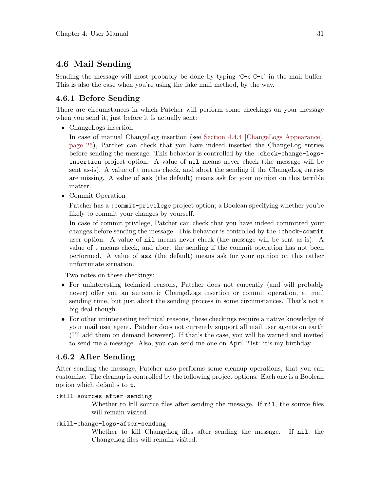## <span id="page-34-0"></span>4.6 Mail Sending

Sending the message will most probably be done by typing  $C-c$   $C-c'$  in the mail buffer. This is also the case when you're using the fake mail method, by the way.

### 4.6.1 Before Sending

There are circumstances in which Patcher will perform some checkings on your message when you send it, just before it is actually sent:

• ChangeLogs insertion

In case of manual ChangeLog insertion (see [Section 4.4.4 \[ChangeLogs Appearance\],](#page-28-2) [page 25\)](#page-28-2), Patcher can check that you have indeed inserted the ChangeLog entries before sending the message. This behavior is controlled by the :check-change-logsinsertion project option. A value of nil means never check (the message will be sent as-is). A value of t means check, and abort the sending if the ChangeLog entries are missing. A value of ask (the default) means ask for your opinion on this terrible matter.

• Commit Operation

Patcher has a :commit-privilege project option; a Boolean specifying whether you're likely to commit your changes by yourself.

In case of commit privilege, Patcher can check that you have indeed committed your changes before sending the message. This behavior is controlled by the :check-commit user option. A value of nil means never check (the message will be sent as-is). A value of t means check, and abort the sending if the commit operation has not been performed. A value of ask (the default) means ask for your opinion on this rather unfortunate situation.

Two notes on these checkings:

- For uninteresting technical reasons, Patcher does not currently (and will probably never) offer you an automatic ChangeLogs insertion or commit operation, at mail sending time, but just abort the sending process in some circumstances. That's not a big deal though.
- For other uninteresting technical reasons, these checkings require a native knowledge of your mail user agent. Patcher does not currently support all mail user agents on earth (I'll add them on demand however). If that's the case, you will be warned and invited to send me a message. Also, you can send me one on April 21st: it's my birthday.

### 4.6.2 After Sending

After sending the message, Patcher also performs some cleanup operations, that you can customize. The cleanup is controlled by the following project options. Each one is a Boolean option which defaults to t.

#### :kill-sources-after-sending

Whether to kill source files after sending the message. If nil, the source files will remain visited.

#### :kill-change-logs-after-sending

Whether to kill ChangeLog files after sending the message. If nil, the ChangeLog files will remain visited.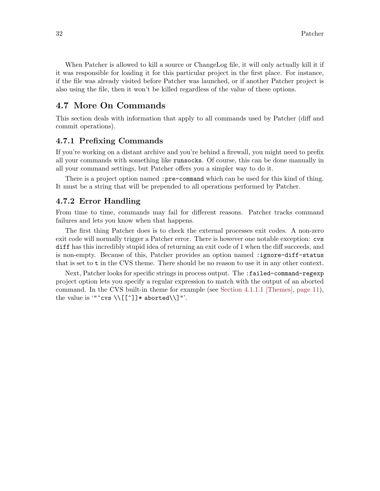<span id="page-35-0"></span>When Patcher is allowed to kill a source or ChangeLog file, it will only actually kill it if it was responsible for loading it for this particular project in the first place. For instance, if the file was already visited before Patcher was launched, or if another Patcher project is also using the file, then it won't be killed regardless of the value of these options.

### <span id="page-35-1"></span>4.7 More On Commands

This section deals with information that apply to all commands used by Patcher (diff and commit operations).

#### 4.7.1 Prefixing Commands

If you're working on a distant archive and you're behind a firewall, you might need to prefix all your commands with something like runsocks. Of course, this can be done manually in all your command settings, but Patcher offers you a simpler way to do it.

There is a project option named : pre-command which can be used for this kind of thing. It must be a string that will be prepended to all operations performed by Patcher.

#### 4.7.2 Error Handling

From time to time, commands may fail for different reasons. Patcher tracks command failures and lets you know when that happens.

The first thing Patcher does is to check the external processes exit codes. A non-zero exit code will normally trigger a Patcher error. There is however one notable exception: cvs diff has this incredibly stupid idea of returning an exit code of 1 when the diff succeeds, and is non-empty. Because of this, Patcher provides an option named :ignore-diff-status that is set to t in the CVS theme. There should be no reason to use it in any other context.

Next, Patcher looks for specific strings in process output. The :failed-command-regexp project option lets you specify a regular expression to match with the output of an aborted command. In the CVS built-in theme for example (see [Section 4.1.1.1 \[Themes\], page 11\)](#page-14-2), the value is '"^cvs  $\Upsilon$ [[^]]\* aborted $\Upsilon$ ".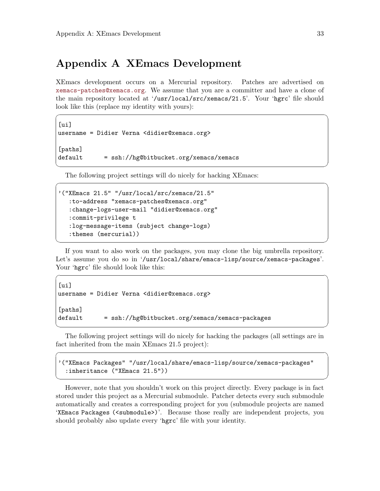# <span id="page-36-0"></span>Appendix A XEmacs Development

XEmacs development occurs on a Mercurial repository. Patches are advertised on [xemacs-patches@xemacs.org](mailto:xemacs-patches@xemacs.org). We assume that you are a committer and have a clone of the main repository located at '/usr/local/src/xemacs/21.5'. Your 'hgrc' file should look like this (replace my identity with yours):

 $\sqrt{2\pi}$ 

✡ ✠

 $\sqrt{2\pi}$ 

```
\lceilui\rceilusername = Didier Verna <didier@xemacs.org>
[paths]
default = \nsch://hg@bitbucket.org/xemacs/xemacs
```
The following project settings will do nicely for hacking XEmacs:

```
'("XEmacs 21.5" "/usr/local/src/xemacs/21.5"
  :to-address "xemacs-patches@xemacs.org"
  :change-logs-user-mail "didier@xemacs.org"
  :commit-privilege t
  :log-message-items (subject change-logs)
  :themes (mercurial))
✡ ✠
```
If you want to also work on the packages, you may clone the big umbrella repository. Let's assume you do so in '/usr/local/share/emacs-lisp/source/xemacs-packages'. Your 'hgrc' file should look like this:

```
\sqrt{2\pi}\lceilui\rceilusername = Didier Verna <didier@xemacs.org>
[paths]
default = ssh://hg@bitbucket.org/xemacs/xemacs-packages
```
The following project settings will do nicely for hacking the packages (all settings are in fact inherited from the main XEmacs 21.5 project):

 $\overline{\phantom{a}}$   $\overline{\phantom{a}}$   $\overline{\phantom{a}}$   $\overline{\phantom{a}}$   $\overline{\phantom{a}}$   $\overline{\phantom{a}}$   $\overline{\phantom{a}}$   $\overline{\phantom{a}}$   $\overline{\phantom{a}}$   $\overline{\phantom{a}}$   $\overline{\phantom{a}}$   $\overline{\phantom{a}}$   $\overline{\phantom{a}}$   $\overline{\phantom{a}}$   $\overline{\phantom{a}}$   $\overline{\phantom{a}}$   $\overline{\phantom{a}}$   $\overline{\phantom{a}}$   $\overline{\$ 

 $\sqrt{2\pi}$ 

✡ ✠

```
'("XEmacs Packages" "/usr/local/share/emacs-lisp/source/xemacs-packages"
  :inheritance ("XEmacs 21.5"))
```
However, note that you shouldn't work on this project directly. Every package is in fact stored under this project as a Mercurial submodule. Patcher detects every such submodule automatically and creates a corresponding project for you (submodule projects are named 'XEmacs Packages (<submodule>)'. Because those really are independent projects, you should probably also update every 'hgrc' file with your identity.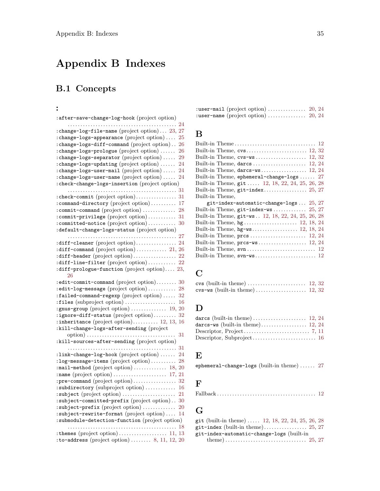# <span id="page-38-0"></span>Appendix B Indexes

# B.1 Concepts

## :

| :after-save-change-log-hook (project option)                         |
|----------------------------------------------------------------------|
| 24                                                                   |
| : change-log-file-name (project option) $23$ ,<br>27                 |
| : change-logs-appearance (project option)<br>25                      |
| : change-logs-diff-command (project option)<br>26                    |
| : change-logs-prologue (project option)<br>26                        |
| : change-logs-separator (project option)<br>29                       |
| : change-logs-updating (project option)<br>24                        |
| 24<br>: change-logs-user-mail (project option)                       |
| : change-logs-user-name (project option)<br>24                       |
| : check-change-logs-insertion (project option)                       |
|                                                                      |
| 31<br>.                                                              |
| : check-commit (project option)<br>31                                |
| : command-directory (project option)<br>17                           |
| :commit-command (project option)<br>28                               |
| :commit-privilege (project option)<br>31                             |
| :committed-notice (project option)<br>30                             |
| :default-change-logs-status (project option)                         |
| 27                                                                   |
| : diff-cleaner $(project option)$<br>24                              |
| : diff-command (project option) 21,<br><b>26</b>                     |
| : diff-header $(project option)$<br>$\overline{22}$                  |
| :diff-line-filter (project option)<br>22                             |
| :diff-prologue-function (project option)<br>23,                      |
| 26                                                                   |
| :edit-commit-command (project option)<br>30                          |
| :edit-log-message (project option)<br>28                             |
| :failed-command-regexp (project option)<br>$^{32}$                   |
| $:$ files (subproject option) $\dots\dots\dots\dots\dots\dots$<br>16 |
| <b>20</b>                                                            |
| :ignore-diff-status (project option)<br>32                           |
| : inheritance (project option) 12, 13,<br>16                         |
| :kill-change-logs-after-sending (project                             |
| 31                                                                   |
| :kill-sources-after-sending (project option)                         |
| 31<br>.<br>.                                                         |
| :link-change-log-hook (project option)<br>24                         |
| :log-message-items (project option)<br>28                            |
|                                                                      |
| :mail-method (project option)  18,<br><b>20</b>                      |
|                                                                      |
| $^{32}$                                                              |
| :subdirectory (subproject option)<br>16                              |
|                                                                      |
| :subject-committed-prefix (project option)<br>30                     |
| :subject-prefix (project option)<br>$\overline{20}$                  |
| :subject-rewrite-format (project option)<br>14                       |
| :submodule-detection-function (project option)                       |
| 18                                                                   |
| 13                                                                   |
| : to-address (project option)  8, 11, 12, 20                         |

## B

| Built-in Theme, $\cos \ldots \ldots \ldots \ldots \ldots \ldots \ldots 12, 32$ |  |
|--------------------------------------------------------------------------------|--|
|                                                                                |  |
|                                                                                |  |
|                                                                                |  |
| Built-in Theme, ephemeral-change-logs  27                                      |  |
| Built-in Theme, git  12, 18, 22, 24, 25, 26, 28                                |  |
|                                                                                |  |
| Built-in Theme,                                                                |  |
|                                                                                |  |
| git-index-automatic-change-logs $25, 27$                                       |  |
| Built-in Theme, $git$ -index-ws 25, 27                                         |  |
| Built-in Theme, git-ws 12, 18, 22, 24, 25, 26, 28                              |  |
|                                                                                |  |
|                                                                                |  |
|                                                                                |  |
|                                                                                |  |
|                                                                                |  |

## C

## $\mathbf D$

## E

```
27
```
## $\mathbf F$

|--|--|

## G

| git (built-in theme)  12, 18, 22, 24, 25, 26, 28 |  |  |  |
|--------------------------------------------------|--|--|--|
|                                                  |  |  |  |
| git-index-automatic-change-logs (built-in        |  |  |  |
|                                                  |  |  |  |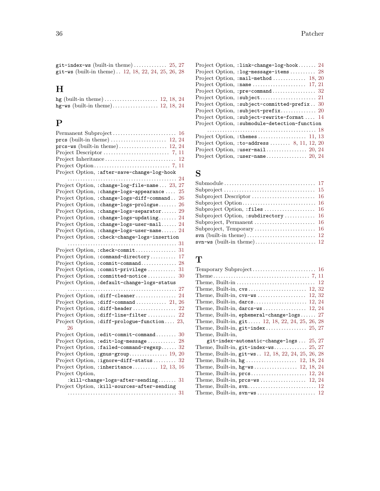$\mathtt{git-index-ws}$  (built-in theme) . . . . . . . . . . . . [25](#page-28-0), [27](#page-30-0) git-ws (built-in theme). . [12,](#page-15-0) [18,](#page-21-0) [22,](#page-25-0) [24](#page-27-0), [25](#page-28-0), [26](#page-29-0), [28](#page-31-0)

## H

## P

| Permanent Subproject                                                     | 16              |
|--------------------------------------------------------------------------|-----------------|
|                                                                          |                 |
|                                                                          |                 |
|                                                                          | 11              |
| Project Inheritance                                                      | 12              |
|                                                                          | 11              |
| Project Option, : after-save-change-log-hook                             |                 |
| .<br>a a a a a a a<br>.                                                  | 24              |
| : change-log-file-name $23$ ,<br>Project Option,                         | 27              |
| Project Option,<br>: change-logs-appearance                              | 25              |
| Project Option,<br>: change-logs-diff-command                            | 26              |
| Project Option,<br>: change-logs-prologue                                | 26              |
| Project Option,<br>$: change - logs - separator \dots$                   | 29              |
| Project Option,<br>: change-logs-updating                                | 24              |
| Project Option,<br>: change-logs-user-mail                               | 24              |
| Project Option,<br>: change-logs-user-name                               | 24              |
| : check-change-logs-insertion<br>Project Option,                         |                 |
|                                                                          | 31              |
| $: \text{check-commit} \dots \dots \dots \dots \dots$<br>Project Option, | 31              |
| Project Option,<br>$:command\textrm{-}divectory \ldots \ldots$           | 17              |
| Project Option,<br>$:$ commit-command                                    | 28              |
| Project Option,<br>: commit-privilege                                    | 31              |
| Project Option,<br>:committed-notice                                     | 30              |
| Project Option,<br>:default-change-logs-status                           |                 |
|                                                                          | 27              |
| Project Option,<br>$:diff\text{-}cleaner \dots \dots$                    | 24              |
| Project Option,<br>: diff-command $21$ ,                                 | 26              |
| Project Option,<br>: diff-header $\dots\dots\dots\dots\dots$             | $\overline{22}$ |
| Project Option,<br>$:diff\text{-line-filter}\dots\dots\dots$             | 22              |
| Project Option,<br>:diff-prologue-function                               | 23.             |
| 26                                                                       |                 |
| Project Option,<br>$:$ edit-commit-command                               | 30              |
| Project Option,<br>$:$ edit-log-message                                  | 28              |
| Project Option,<br>$: \texttt{failed-command-regexp} \dots$              | 32              |
| Project Option,                                                          | 20              |
| Project Option,<br>$: ignore-diff-status \ldots \ldots$                  | 32              |
| : inheritance $12, 13, 16$<br>Project Option,                            |                 |
| Project Option,                                                          |                 |
| : $k$ ill-change-logs-after-sending                                      | 31              |
| Project Option, : kill-sources-after-sending                             |                 |
|                                                                          |                 |
|                                                                          |                 |

| Project Option, : link-change-log-hook 24      |
|------------------------------------------------|
| Project Option, : log-message-items 28         |
| Project Option, : mail-method  18, 20          |
| Project Option, :name  17, 21                  |
|                                                |
|                                                |
| Project Option, : subject-committed-prefix 30  |
|                                                |
| Project Option, : subject-rewrite-format 14    |
| Project Option, : submodule-detection-function |
|                                                |
|                                                |
| Project Option, :to-address  8, 11, 12, 20     |
|                                                |
|                                                |

## S

| $\rm Subproject\ Option, : files \dots \dots \dots \dots \dots \dots \ 16$ |  |
|----------------------------------------------------------------------------|--|
| Subproject Option, : subdirectory  16                                      |  |
|                                                                            |  |
|                                                                            |  |
|                                                                            |  |
|                                                                            |  |
|                                                                            |  |

## T

| Theme, Built-in, $\cos \ldots \ldots \ldots \ldots \ldots \ldots \ldots 12, 32$ |
|---------------------------------------------------------------------------------|
|                                                                                 |
|                                                                                 |
|                                                                                 |
| Theme, Built-in, ephemeral-change-logs $27$                                     |
| Theme, Built-in, $g$ it 12, 18, 22, 24, 25, 26, 28                              |
|                                                                                 |
|                                                                                 |
| Theme, Built-in,                                                                |
| git-index-automatic-change-logs 25, 27                                          |
| Theme, Built-in, git-index-ws 25, 27                                            |
| Theme, Built-in, git-ws 12, 18, 22, 24, 25, 26, 28                              |
|                                                                                 |
|                                                                                 |
|                                                                                 |
|                                                                                 |
|                                                                                 |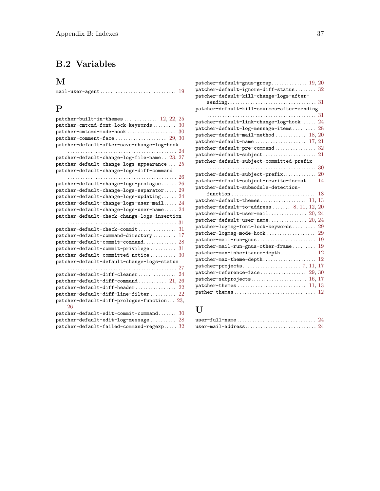# <span id="page-40-0"></span>B.2 Variables

# M

# P

| patcher-built-in-themes  12, 22, 25                                   |    |
|-----------------------------------------------------------------------|----|
| patcher-cmtcmd-font-lock-keywords                                     | 30 |
| patcher-cmtcmd-mode-hook                                              | 30 |
|                                                                       |    |
| patcher-default-after-save-change-log-hook                            |    |
|                                                                       |    |
| patcher-default-change-log-file-name 23, 27                           |    |
| patcher-default-change-logs-appearance                                | 25 |
| patcher-default-change-logs-diff-command                              |    |
|                                                                       | 26 |
| patcher-default-change-logs-prologue 26                               |    |
| patcher-default-change-logs-separator 29                              |    |
| patcher-default-change-logs-updating 24                               |    |
| ${\tt pattern-default-change-logs-user-mail.}\dots.~24$               |    |
| ${\tt patcher-default-change-logs-user-name.}\dots\,24$               |    |
| patcher-default-check-change-logs-insertion                           |    |
|                                                                       | 31 |
| $pattern-default-check-committ$ 31                                    |    |
| patcher-default-command-directory                                     | 17 |
| $\mathtt{patcher-default-commit-command \dots \dots 28}$              |    |
| patcher-default-commit-privilege                                      | 31 |
| patcher-default-committed-notice                                      | 30 |
| patcher-default-default-change-logs-status                            |    |
|                                                                       | 27 |
| patcher-default-diff-cleaner                                          | 24 |
| patcher-default-diff-command $21, 26$                                 |    |
| $\mathtt{patcher-default-diff-theader}\dots\dots\dots\dots\dots \ 22$ |    |
| patcher-default-diff-line-filter 22                                   |    |
| patcher-default-diff-prologue-function 23,                            |    |
| 26                                                                    |    |
| $\mathtt{patcher-default=edit-commit-command}\ 30$                    |    |
| patcher-default-edit-log-message                                      | 28 |
| patcher-default-failed-command-regexp 32                              |    |

| ${\tt patcher\text{-}default\text{-}gnus\text{-}group.}\dots\dots\dots\dots\ 19,\,20$  |
|----------------------------------------------------------------------------------------|
| patcher-default-ignore-diff-status 32                                                  |
| patcher-default-kill-change-logs-after-                                                |
|                                                                                        |
| patcher-default-kill-sources-after-sending                                             |
|                                                                                        |
| ${\tt patcher-default-link-change-log-hook.}\dots.\hspace{0.08cm} 24$                  |
| patcher-default-log-message-items 28                                                   |
| ${\tt patcher-default-mail-method}\ldots\ldots\ldots\ldots\ 18,\,20$                   |
| $\texttt{patcher-default-name}\dots\dots\dots\dots\dots\dots 17,\ 21$                  |
| $\mathtt{patcher-default-pre-command}\ldots\ldots\ldots\ldots\ldots\ 32$               |
|                                                                                        |
| patcher-default-subject-committed-prefix                                               |
|                                                                                        |
| $\mathtt{patcher-default-subject-prefix} \ldots \ldots \ldots 20$                      |
| patcher-default-subject-rewrite-format<br>14                                           |
| patcher-default-submodule-detection-                                                   |
| 18<br>$function \ldots \ldots \ldots \ldots \ldots \ldots \ldots \ldots \ldots \ldots$ |
| $pattern-default-themes \ldots \ldots \ldots \ldots \ldots 11, 13$                     |
| patcher-default-to-address  8, 11, 12, 20                                              |
| $pattern-default-user-mail$ 20, 24                                                     |
| $\texttt{pattern-default-user-name}\dots\dots\dots\dots\ 20,\ 24$                      |
| ${\tt pattern-logmsg-font-lock-keywords}\dots\dots\dots\ 29$                           |
|                                                                                        |
|                                                                                        |
| 19<br>patcher-mail-run-gnus-other-frame                                                |
| patcher-max-inheritance-depth 12                                                       |
| patcher-max-theme-depth 12                                                             |
|                                                                                        |
| $\texttt{pattern-reference-face} \dots \dots \dots \dots \dots \dots \ 29, \, 30$      |
| patcher-subprojects 16, 17                                                             |
|                                                                                        |
|                                                                                        |
|                                                                                        |

# ${\bf U}$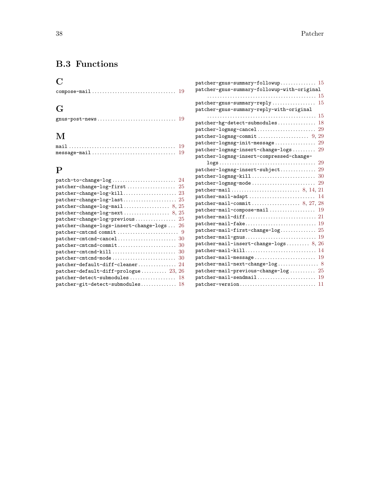# <span id="page-41-0"></span>B.3 Functions

# C

# G

|--|--|--|--|--|--|--|--|--|--|--|--|--|--|--|--|--|--|--|--|--|--|--|--|--|--|--|--|--|

# M

# P

| $\mathtt{patch-to-change-log}\dots\dots\dots\dots\dots\dots\dots\ 24$        |    |
|------------------------------------------------------------------------------|----|
| ${\tt patcher-change-log-first}\ \dots\dots\dots\dots\dots\dots\dots \ 25$   |    |
|                                                                              |    |
| $\mathtt{patcher-change-log-last25}$                                         |    |
| $\texttt{patcher-change-log-mail}\dots\dots\dots\dots\dots \ 8,\ 25$         |    |
| $\texttt{patcher-change-log-next} \dots \dots \dots \dots \dots \quad 8, 25$ |    |
| $\texttt{patcher-change-log-previous}\dots\dots\dots\dots\dots\ 25$          |    |
| patcher-change-logs-insert-change-logs 26                                    |    |
|                                                                              |    |
| $\mathtt{patcher-cmtcmd-cancel\ldots,30}$                                    |    |
|                                                                              |    |
|                                                                              |    |
| $pattern-cmtcmd-mode \ldots \ldots \ldots \ldots \ldots \ldots \ldots 30$    |    |
| patcher-default-diff-cleaner 24                                              |    |
| $\verb patcher-default-diff-prologue23 , 26$                                 |    |
| patcher-detect-submodules                                                    | 18 |
| $pattern-git-detect-submodules 18$                                           |    |
|                                                                              |    |

| ${\tt patcher-gnus-summary-followup\ 15}$                                                 |
|-------------------------------------------------------------------------------------------|
| patcher-gnus-summary-followup-with-original                                               |
|                                                                                           |
| patcher-gnus-summary-reply<br>15                                                          |
| patcher-gnus-summary-reply-with-original                                                  |
| 15                                                                                        |
| patcher-hg-detect-submodules<br>18                                                        |
| 29<br>patcher-logmsg-cancel                                                               |
| $\mathtt{patcher-logmsg-commit}\dots\dots\dots\dots\dots\dots\ 9,\ 29$                    |
| 29<br>patcher-logmsg-init-message                                                         |
| patcher-logmsg-insert-change-logs<br>29                                                   |
| patcher-logmsg-insert-compressed-change-                                                  |
| 29                                                                                        |
| ${\tt patcher-logmsg-insert-subject}$<br>29                                               |
| patcher-logmsg-kill<br>30                                                                 |
| patcher-logmsg-mode<br>29                                                                 |
|                                                                                           |
| patcher-mail-adapt<br>14                                                                  |
| patcher-mail-commit 8, 27, 28                                                             |
| patcher-mail-compose-mail<br>19                                                           |
| $\mathtt{patcher-mail-diff} \dots \dots \dots \dots \dots \dots \dots \dots \dots \ 21$   |
|                                                                                           |
|                                                                                           |
| patcher-mail-gnus<br>19                                                                   |
| $\mathtt{patcher-mail-insert-change-logs}\dots\ldots\ 8,\,26$                             |
| patcher-mail-kill<br>14                                                                   |
|                                                                                           |
| ${\tt pattern-mail-next-change-log}\dots\dots\dots\dots\dots \ 8$                         |
| $\mathtt{patcher-mail\text{-}previous\text{-}change\text{-}log}\ldots\ldots\ldots\ 25$    |
|                                                                                           |
| ${\tt patcher-version}\dots\dots\dots\dots\dots\dots\dots\dots\dots\dots\dots\dots$<br>11 |
|                                                                                           |